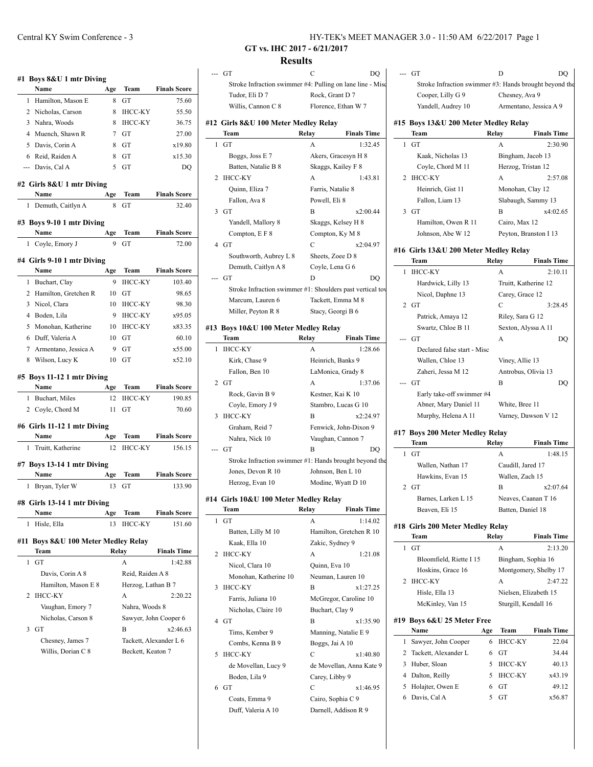|                | #1 Boys 8&U 1 mtr Diving<br>Name                     | Age             | Team                    | <b>Finals Score</b>           |
|----------------|------------------------------------------------------|-----------------|-------------------------|-------------------------------|
| 1              | Hamilton, Mason E                                    | 8               | GT                      | 75.60                         |
|                | 2 Nicholas, Carson                                   | 8               | <b>IHCC-KY</b>          | 55.50                         |
| 3              | Nahra, Woods                                         | 8               | <b>IHCC-KY</b>          | 36.75                         |
|                | 4 Muench, Shawn R                                    | $7\phantom{.0}$ | GT                      | 27.00                         |
| 5              |                                                      |                 |                         | x19.80                        |
|                | Davis, Corin A                                       | 8               | GТ                      |                               |
|                | 6 Reid, Raiden A                                     | 8               | GT                      | x15.30                        |
|                | --- Davis, Cal A                                     | 5               | GT                      | DQ                            |
|                | #2 Girls 8&U 1 mtr Diving<br>Name                    | Age             | Team                    | <b>Finals Score</b>           |
| 1              | Demuth, Caitlyn A                                    | 8               | GТ                      | 32.40                         |
|                |                                                      |                 |                         |                               |
|                | #3 Boys 9-10 1 mtr Diving<br>Name                    | Age             | Team                    | <b>Finals Score</b>           |
| 1              | Coyle, Emory J                                       | 9               | GT                      | 72.00                         |
|                |                                                      |                 |                         |                               |
|                | #4 Girls 9-10 1 mtr Diving<br>Name                   | Age             | Team                    | <b>Finals Score</b>           |
| 1              | Buchart, Clay                                        | 9               | <b>IHCC-KY</b>          | 103.40                        |
| 2              | Hamilton, Gretchen R                                 | 10              | GT                      | 98.65                         |
| 3              | Nicol, Clara                                         | 10              | <b>IHCC-KY</b>          | 98.30                         |
|                | 4 Boden, Lila                                        | 9               | <b>IHCC-KY</b>          | x95.05                        |
| 5              | Monohan, Katherine                                   | 10              | IHCC-KY                 | x83.35                        |
|                | 6 Duff, Valeria A                                    | 10              | GТ                      | 60.10                         |
|                | 7 Armentano, Jessica A                               | 9               | GТ                      | x55.00                        |
|                | 8 Wilson, Lucy K                                     | 10              | GТ                      | x52.10                        |
| 1              | #5 Boys 11-12 1 mtr Diving<br>Name<br>Buchart, Miles | Age<br>12       | Team<br><b>IHCC-KY</b>  | <b>Finals Score</b><br>190.85 |
| $\overline{2}$ | Coyle, Chord M                                       | 11              | GT                      | 70.60                         |
|                | #6 Girls 11-12 1 mtr Diving<br>Name                  | Age             | Team                    | <b>Finals Score</b>           |
| 1              | Truitt, Katherine                                    | 12              | <b>IHCC-KY</b>          | 156.15                        |
|                | #7 Boys 13-14 1 mtr Diving<br>Name                   | Age             | Team                    | <b>Finals Score</b>           |
|                | Bryan, Tyler W                                       |                 | GT                      | 133.90                        |
| 1              |                                                      | 13              |                         |                               |
|                | #8 Girls 13-14 1 mtr Diving                          |                 |                         |                               |
|                | Name                                                 | Age             | Team                    | <b>Finals Score</b>           |
| 1              | Hisle, Ella                                          | 13              | <b>IHCC-KY</b>          | 151.60                        |
|                | Boys 8&U 100 Meter Medley Relay<br>Team              |                 | Relay                   | <b>Finals Time</b>            |
| 1              | GT                                                   |                 | A                       | 1:42.88                       |
|                | Davis, Corin A 8                                     |                 | Reid, Raiden A 8        |                               |
|                | Hamilton, Mason E 8                                  |                 |                         |                               |
| 2              | <b>IHCC-KY</b>                                       |                 | Herzog, Lathan B 7<br>А | 2:20.22                       |
|                |                                                      |                 |                         |                               |
|                | Vaughan, Emory 7                                     |                 | Nahra, Woods 8          |                               |
|                | Nicholas, Carson 8                                   |                 |                         | Sawyer, John Cooper 6         |
| 3              | GT                                                   |                 | B                       | x2:46.63                      |
| #11            | Chesney, James 7<br>Willis, Dorian C 8               |                 | Beckett, Keaton 7       | Tackett, Alexander L 6        |

|   |                                                           |                        | HY-TEK's MEET MANAGER 3.0 - 11:50 |   |                           |
|---|-----------------------------------------------------------|------------------------|-----------------------------------|---|---------------------------|
|   | GT vs. IHC 2017 - 6/21/2017                               |                        |                                   |   |                           |
|   | <b>Results</b>                                            |                        |                                   |   |                           |
|   | -- GT                                                     | C                      | DO                                |   | --- GT                    |
|   | Stroke Infraction swimmer #4: Pulling on lane line - Misc |                        |                                   |   | Stroke Infract            |
|   | Tudor, Eli D 7                                            |                        | Rock, Grant D 7                   |   | Cooper, Lilly             |
|   | Willis, Cannon C 8                                        |                        | Florence, Ethan W 7               |   | Yandell, Audr             |
|   | #12 Girls 8&U 100 Meter Medley Relay                      |                        |                                   |   | #15 Boys 13&U 20          |
|   | Team                                                      | Relay                  | <b>Finals Time</b>                |   | Team                      |
| 1 | GT                                                        | A                      | 1:32.45                           |   | $1$ GT                    |
|   | Boggs, Joss E 7                                           |                        | Akers, Gracesyn H 8               |   | Kaak, Nichola             |
| 2 | Batten, Natalie B 8<br>IHCC-KY                            |                        | Skaggs, Kailey F 8<br>1:43.81     |   | Coyle, Chord<br>2 IHCC-KY |
|   | Quinn, Eliza 7                                            | A<br>Farris, Natalie 8 |                                   |   | Heinrich, Gis             |
|   | Fallon, Ava 8                                             | Powell, Eli 8          |                                   |   | Fallon, Liam              |
|   | 3 <sub>GT</sub>                                           | B                      | x2:00.44                          |   | $3$ GT                    |
|   | Yandell, Mallory 8                                        |                        | Skaggs, Kelsey H 8                |   | Hamilton, Ow              |
|   | Compton, E F 8                                            |                        | Compton, Ky M 8                   |   | Johnson, Abe              |
|   | 4 GT                                                      | C                      | x2:04.97                          |   |                           |
|   | Southworth, Aubrey L 8                                    |                        | Sheets, Zoee D 8                  |   | #16 Girls 13&U 20         |
|   | Demuth, Caitlyn A 8                                       |                        | Coyle, Lena G 6                   |   | Team                      |
|   | GT                                                        | D                      | DO                                |   | 1 IHCC-KY                 |
|   | Stroke Infraction swimmer #1: Shoulders past vertical tov |                        |                                   |   | Hardwick, Li              |
|   | Marcum, Lauren 6                                          |                        | Tackett, Emma M 8                 |   | Nicol, Daphn              |
|   | Miller, Peyton R 8                                        |                        | Stacy, Georgi B 6                 |   | $2$ GT                    |
|   |                                                           |                        |                                   |   | Patrick, Amay             |
|   | #13 Boys 10&U 100 Meter Medley Relay<br>Team              | Relay                  | <b>Finals Time</b>                |   | Swartz, Chloe<br>--- GT   |
|   | 1 IHCC-KY                                                 | A                      | 1:28.66                           |   | Declared false            |
|   | Kirk, Chase 9                                             |                        | Heinrich, Banks 9                 |   | Wallen, Chloe             |
|   | Fallon, Ben 10                                            |                        | LaMonica, Grady 8                 |   | Zaheri, Jessa             |
|   | $2$ GT                                                    | A                      | 1:37.06                           |   | --- GT                    |
|   | Rock, Gavin B 9                                           |                        | Kestner, Kai K 10                 |   | Early take-off            |
|   | Coyle, Emory J 9                                          |                        | Stambro, Lucas G 10               |   | Abner, Mary               |
| 3 | <b>IHCC-KY</b>                                            | B                      | x2:24.97                          |   | Murphy, Hele              |
|   | Graham, Reid 7                                            |                        | Fenwick, John-Dixon 9             |   |                           |
|   | Nahra, Nick 10                                            |                        | Vaughan, Cannon 7                 |   | #17 Boys 200 Met<br>Team  |
|   | -- GT                                                     | B                      | DQ                                | 1 | GT                        |
|   | Stroke Infraction swimmer #1: Hands brought beyond the    |                        |                                   |   | Wallen, Natha             |
|   | Jones, Devon R 10                                         |                        | Johnson, Ben L 10                 |   | Hawkins, Eva              |
|   | Herzog, Evan 10                                           |                        | Modine, Wyatt D 10                |   | $2$ GT                    |
|   | #14 Girls 10&U 100 Meter Medley Relay                     |                        |                                   |   | Barnes, Larke             |
|   | Team                                                      | Relay                  | <b>Finals Time</b>                |   | Beaven, Eli 1             |
| 1 | GT                                                        | A                      | 1:14.02                           |   |                           |
|   | Batten, Lilly M 10                                        |                        | Hamilton, Gretchen R 10           |   | #18 Girls 200 Met<br>Team |
|   | Kaak, Ella 10                                             | Zakic, Sydney 9        |                                   |   | $1$ GT                    |
|   | 2 IHCC-KY                                                 | А                      | 1:21.08                           |   |                           |

|   | Batten, Natalie B 8                                       |                | Skaggs, Kalley F 8       |        |
|---|-----------------------------------------------------------|----------------|--------------------------|--------|
| 2 | ІНСС-КҮ                                                   | A              | 1:43.81                  | 2 II   |
|   | Quinn, Eliza 7                                            |                | Farris, Natalie 8        |        |
|   | Fallon, Ava 8                                             | Powell, Eli 8  |                          |        |
| 3 | GT                                                        | B              | x2:00.44                 | 3 G    |
|   | Yandell, Mallory 8                                        |                | Skaggs, Kelsey H 8       |        |
|   | Compton, E F 8                                            |                | Compton, Ky M 8          |        |
|   | 4 GT                                                      | С              | x2:04.97                 |        |
|   | Southworth, Aubrey L 8                                    |                | Sheets, Zoee D 8         | #16 G  |
|   |                                                           |                |                          | Т      |
|   | Demuth, Caitlyn A 8                                       |                | Coyle, Lena G 6          | П<br>1 |
|   | GT                                                        | D              | DQ                       |        |
|   | Stroke Infraction swimmer #1: Shoulders past vertical tov |                |                          |        |
|   | Marcum, Lauren 6                                          |                | Tackett, Emma M 8        | 2 G    |
|   | Miller, Peyton R 8                                        |                | Stacy, Georgi B 6        |        |
|   | 3 Boys 10&U 100 Meter Medley Relay                        |                |                          |        |
|   | Team                                                      | Relay          | <b>Finals Time</b>       | G      |
| 1 | <b>IHCC-KY</b>                                            | A              | 1:28.66                  |        |
|   | Kirk, Chase 9                                             |                | Heinrich, Banks 9        |        |
|   | Fallon, Ben 10                                            |                |                          |        |
|   | $2$ GT                                                    |                | LaMonica, Grady 8        |        |
|   |                                                           | A              | 1:37.06                  | G      |
|   | Rock, Gavin B 9                                           |                | Kestner, Kai K 10        |        |
|   | Coyle, Emory J 9                                          |                | Stambro, Lucas G 10      |        |
| 3 | <b>IHCC-KY</b>                                            | B              | x2:24.97                 |        |
|   | Graham, Reid 7                                            |                | Fenwick, John-Dixon 9    | #17 B  |
|   | Nahra, Nick 10                                            |                | Vaughan, Cannon 7        | т      |
|   | GT                                                        | B              | DO                       | 1<br>G |
|   | Stroke Infraction swimmer #1: Hands brought beyond the    |                |                          |        |
|   | Jones, Devon R 10                                         |                | Johnson, Ben L 10        |        |
|   | Herzog, Evan 10                                           |                | Modine, Wyatt D 10       | 2 G    |
|   |                                                           |                |                          |        |
|   | 4 Girls 10&U 100 Meter Medley Relay<br>Team               | Relay          | <b>Finals Time</b>       |        |
|   |                                                           | A              |                          |        |
| 1 | GT                                                        |                | 1:14.02                  | #18 G  |
|   | Batten, Lilly M 10                                        |                | Hamilton, Gretchen R 10  | Т      |
|   | Kaak, Ella 10                                             |                | Zakic, Sydney 9          | G<br>1 |
| 2 | <b>IHCC-KY</b>                                            | A              | 1:21.08                  |        |
|   | Nicol, Clara 10                                           | Quinn, Eva 10  |                          |        |
|   | Monohan, Katherine 10                                     |                | Neuman, Lauren 10        | 2 II   |
| 3 | <b>IHCC-KY</b>                                            | B              | x1:27.25                 |        |
|   | Farris, Juliana 10                                        |                | McGregor, Caroline 10    |        |
|   | Nicholas, Claire 10                                       |                | Buchart, Clay 9          |        |
| 4 | GT                                                        | B              | x1:35.90                 | #19 B  |
|   | Tims, Kember 9                                            |                | Manning, Natalie E 9     | Ņ      |
|   | Combs, Kenna B 9                                          |                | Boggs, Jai A 10          | S<br>1 |
| 5 | <b>IHCC-KY</b>                                            | С              | x1:40.80                 | 2<br>T |
|   | de Movellan, Lucy 9                                       |                | de Movellan, Anna Kate 9 | 3<br>Η |
|   | Boden, Lila 9                                             | Carey, Libby 9 |                          | 4<br>D |
| 6 | GT                                                        | С              | x1:46.95                 | 5<br>Η |
|   | Coats, Emma 9                                             |                |                          | D<br>6 |
|   |                                                           |                |                          |        |
|   |                                                           |                | Cairo, Sophia C 9        |        |
|   | Duff, Valeria A 10                                        |                | Darnell, Addison R 9     |        |

|              | GT                                                     |       | D                     | DO                     |
|--------------|--------------------------------------------------------|-------|-----------------------|------------------------|
|              | Stroke Infraction swimmer #3: Hands brought beyond the |       |                       |                        |
|              | Cooper, Lilly G 9                                      |       | Chesney, Ava 9        |                        |
|              | Yandell, Audrey 10                                     |       |                       | Armentano, Jessica A 9 |
|              | #15 Boys 13&U 200 Meter Medley Relay                   |       |                       |                        |
|              | Team                                                   | Relay |                       | <b>Finals Time</b>     |
| 1            | GT                                                     |       | А                     | 2:30.90                |
|              | Kaak, Nicholas 13                                      |       | Bingham, Jacob 13     |                        |
|              | Coyle, Chord M 11                                      |       | Herzog, Tristan 12    |                        |
| 2            | IHCC-KY                                                |       | А                     | 2:57.08                |
|              | Heinrich, Gist 11                                      |       | Monohan, Clay 12      |                        |
|              | Fallon, Liam 13                                        |       | Slabaugh, Sammy 13    |                        |
|              | 3 GT                                                   |       | В                     | x4:02.65               |
|              | Hamilton, Owen R 11                                    |       | Cairo, Max 12         |                        |
|              | Johnson, Abe W 12                                      |       | Peyton, Branston I 13 |                        |
|              | #16  Girls 13&U 200 Meter Medley Relay                 |       |                       |                        |
|              | Team<br><b>IHCC-KY</b>                                 | Relay | А                     | <b>Finals Time</b>     |
| 1            |                                                        |       | Truitt, Katherine 12  | 2:10.11                |
|              | Hardwick, Lilly 13<br>Nicol, Daphne 13                 |       | Carey, Grace 12       |                        |
|              | $2$ GT                                                 |       | С                     | 3:28.45                |
|              | Patrick, Amaya 12                                      |       | Riley, Sara G 12      |                        |
|              | Swartz, Chloe B 11                                     |       | Sexton, Alyssa A 11   |                        |
|              | --- GT                                                 |       | А                     | DQ                     |
|              | Declared false start - Misc                            |       |                       |                        |
|              | Wallen, Chloe 13                                       |       | Viney, Allie 13       |                        |
|              | Zaheri, Jessa M 12                                     |       | Antrobus, Olivia 13   |                        |
|              | GT                                                     |       | в                     | DQ                     |
|              | Early take-off swimmer #4                              |       |                       |                        |
|              | Abner, Mary Daniel 11                                  |       | White, Bree 11        |                        |
|              | Murphy, Helena A 11                                    |       | Varney, Dawson V 12   |                        |
|              | #17 Boys 200 Meter Medley Relay                        |       |                       |                        |
|              | Team                                                   | Relay |                       | <b>Finals Time</b>     |
| $\mathbf{1}$ | GT                                                     |       | А                     | 1:48.15                |
|              | Wallen, Nathan 17                                      |       | Caudill, Jared 17     |                        |
|              | Hawkins, Evan 15                                       |       | Wallen, Zach 15       |                        |
|              | 2 GT                                                   |       | В                     | x2:07.64               |
|              | Barnes, Larken L 15                                    |       | Neaves, Caanan T 16   |                        |
|              | Beaven, Eli 15                                         |       | Batten, Daniel 18     |                        |
|              | #18 Girls 200 Meter Medley Relay                       |       |                       |                        |
|              | Team                                                   |       | Relay                 | <b>Finals Time</b>     |
|              | $1$ GT                                                 |       | A                     | 2:13.20                |
|              | Bloomfield, Riette I 15                                |       | Bingham, Sophia 16    |                        |
|              | Hoskins, Grace 16                                      |       |                       | Montgomery, Shelby 17  |
| 2            | <b>IHCC-KY</b>                                         |       | A                     | 2:47.22                |
|              | Hisle, Ella 13                                         |       | Nielsen, Elizabeth 15 |                        |
|              | McKinley, Van 15                                       |       | Sturgill, Kendall 16  |                        |
|              | #19 Boys 6&U 25 Meter Free                             |       |                       |                        |
|              | Name                                                   | Age   | Team                  | <b>Finals Time</b>     |
|              | 1 Sawyer, John Cooper                                  | 6     | <b>IHCC-KY</b>        | 22.04                  |
|              | 2 Tackett, Alexander L                                 | 6     | GT                    | 34.44                  |
|              | 3 Huber, Sloan                                         | 5     | <b>IHCC-KY</b>        | 40.13                  |
|              | 4 Dalton, Reilly                                       | 5     | <b>IHCC-KY</b>        | x43.19                 |
| 5            | Holajter, Owen E                                       | 6     | GT                    | 49.12                  |
| 6            | Davis, Cal A                                           | 5     | GТ                    | x56.87                 |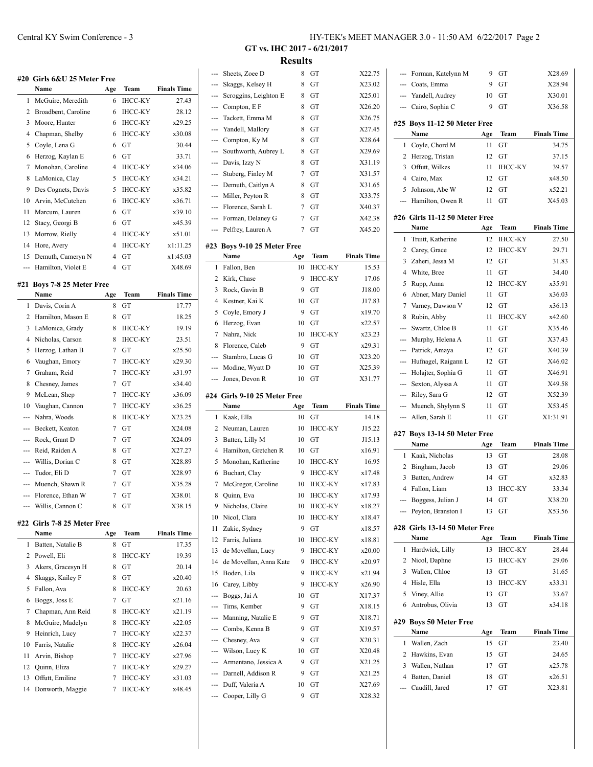|                | #20 Girls 6&U 25 Meter Free   |                |                |                    |
|----------------|-------------------------------|----------------|----------------|--------------------|
|                | Name                          | Age            | Team           | <b>Finals Time</b> |
| 1              | McGuire, Meredith             | 6              | <b>IHCC-KY</b> | 27.43              |
| 2              | Broadbent, Caroline           | 6              | IHCC-KY        | 28.12              |
| 3              | Moore, Hunter                 | 6              | <b>IHCC-KY</b> | x29.25             |
| 4              | Chapman, Shelby               | 6              | <b>IHCC-KY</b> | x30.08             |
| 5              | Coyle, Lena G                 | 6              | GT             | 30.44              |
| 6              | Herzog, Kaylan E              | 6              | GT             | 33.71              |
| 7              | Monohan, Caroline             | 4              | <b>IHCC-KY</b> | x34.06             |
| 8              | LaMonica, Clay                | 5              | <b>IHCC-KY</b> | x34.21             |
| 9              | Des Cognets, Davis            | 5              | <b>IHCC-KY</b> | x35.82             |
| 10             | Arvin, McCutchen              | 6              | <b>IHCC-KY</b> | x36.71             |
| 11             | Marcum, Lauren                | 6              | GT             | x39.10             |
| 12             | Stacy, Georgi B               | 6              | GT             | x45.39             |
| 13             | Morrow, Rielly                | 4              | <b>IHCC-KY</b> | x51.01             |
| 14             | Hore, Avery                   | 4              | <b>IHCC-KY</b> | x1:11.25           |
| 15             | Demuth, Cameryn N             | $\overline{4}$ | GT             | x1:45.03           |
|                | Hamilton, Violet E            | 4              | GT             | X48.69             |
| #21            | <b>Boys 7-8 25 Meter Free</b> |                |                |                    |
|                |                               |                |                |                    |
|                | Name                          | Age            | Team           | <b>Finals Time</b> |
| 1              | Davis, Corin A                | 8              | GT             | 17.77              |
| $\overline{c}$ | Hamilton, Mason E             | 8              | GT             | 18.25              |
| 3              | LaMonica, Grady               | 8              | <b>IHCC-KY</b> | 19.19              |
| $\overline{4}$ | Nicholas, Carson              | 8              | <b>IHCC-KY</b> | 23.51              |
| 5              | Herzog, Lathan B              | 7              | GT             | x25.50             |
| 6              | Vaughan, Emory                | $\overline{7}$ | <b>IHCC-KY</b> | x29.30             |
| 7              | Graham, Reid                  | 7              | <b>IHCC-KY</b> | x31.97             |
| 8              | Chesney, James                | $\overline{7}$ | GT             | x34.40             |
| 9              | McLean, Shep                  | 7              | <b>IHCC-KY</b> | x36.09             |
| 10             | Vaughan, Cannon               | $\overline{7}$ | <b>IHCC-KY</b> | x36.25             |
| ---            | Nahra, Woods                  | 8              | <b>IHCC-KY</b> | X23.25             |
| ---            | Beckett, Keaton               | 7              | GТ             | X24.08             |
|                | Rock, Grant D                 | 7              | GT             | X24.09             |
| ---            | Reid, Raiden A                | 8              | GТ             | X27.27             |
|                | Willis, Dorian C              | 8              | GT             | X28.89             |
| ---            | Tudor, Eli D                  | 7              | GT             | X28.97             |
| ---            | Muench, Shawn R               | 7              | GT             | X35.28             |
| ---            | Florence, Ethan W             | 7              | GТ             | X38.01             |

#### **#22 Girls 7-8 25 Meter Free**

|    | Name              | Age | Team           | <b>Finals Time</b> |
|----|-------------------|-----|----------------|--------------------|
| 1  | Batten, Natalie B | 8   | GT             | 17.35              |
| 2  | Powell, Eli       | 8   | <b>IHCC-KY</b> | 19.39              |
| 3  | Akers, Gracesyn H | 8   | GT             | 20.14              |
| 4  | Skaggs, Kailey F  | 8   | GT             | x20.40             |
| 5  | Fallon, Ava       | 8   | <b>IHCC-KY</b> | 20.63              |
| 6  | Boggs, Joss E     | 7   | GT             | x21.16             |
| 7  | Chapman, Ann Reid | 8   | <b>IHCC-KY</b> | x21.19             |
| 8  | McGuire, Madelyn  | 8   | <b>IHCC-KY</b> | x22.05             |
| 9  | Heinrich, Lucy    | 7   | <b>IHCC-KY</b> | x22.37             |
| 10 | Farris, Natalie   | 8   | <b>IHCC-KY</b> | x26.04             |
| 11 | Arvin, Bishop     | 7   | <b>IHCC-KY</b> | x27.96             |
|    | 12 Quinn, Eliza   | 7   | <b>IHCC-KY</b> | x29.27             |
| 13 | Offutt, Emiline   | 7   | <b>IHCC-KY</b> | x31.03             |
| 14 | Donworth, Maggie  | 7   | <b>IHCC-KY</b> | x48.45             |

**GT vs. IHC 2017 - 6/21/2017 Results**

| Sheets, Zoee D<br>8<br>GТ<br>X22.75<br>---<br>Skaggs, Kelsey H<br>8<br>GТ<br>X23.02<br>---<br>Scroggins, Leighton E<br>X25.01<br>8<br>GТ<br>---<br>Compton, E F<br>X26.20<br>8<br>GТ<br>---<br>Tackett, Emma M<br>8<br>GТ<br>X26.75<br>---<br>X27.45<br>Yandell, Mallory<br>8<br>GT<br>---<br>Compton, Ky M<br>X28.64<br>8<br>GТ<br>---<br>Southworth, Aubrey L<br>X29.69<br>8<br>GT<br>---<br>Davis, Izzy N<br>8<br>X31.19<br>GТ<br>---<br>Stuberg, Finley M<br>X31.57<br>7<br>GТ<br>---<br>Demuth, Caitlyn A<br>X31.65<br>8<br>GT<br>---<br>Miller, Peyton R<br>GT<br>8<br>X33.75<br>---<br>Florence, Sarah L<br>7<br>X40.37<br>---<br>GТ<br>Forman, Delaney G<br>7<br>X42.38<br>GT<br>---<br>Pelfrey, Lauren A<br>X45.20<br>7<br>GТ<br>---<br>Boys 9-10 25 Meter Free<br><b>Finals Time</b><br>Name<br>Age<br>Team<br>Fallon, Ben<br><b>IHCC-KY</b><br>1<br>10<br>15.53<br>2<br>9<br><b>IHCC-KY</b><br>Kirk, Chase<br>17.06<br>3<br>Rock, Gavin B<br>9<br>GT<br>J18.00<br>$\overline{4}$<br>Kestner, Kai K<br>GT<br>10<br>J17.83<br>Coyle, Emory J<br>GT<br>x19.70<br>5<br>9<br>Herzog, Evan<br>x22.57<br>6<br>10<br>GТ<br>7<br>Nahra, Nick<br><b>IHCC-KY</b><br>10<br>x23.23<br>8<br>Florence, Caleb<br>9<br>GТ<br>x29.31<br>X23.20<br>Stambro, Lucas G<br>10<br>GТ<br>---<br>Modine, Wyatt D<br>X25.39<br>GT<br>10<br>---<br>Jones, Devon R<br>X31.77<br>10<br>GТ<br>---<br>#24  Girls 9-10 25 Meter Free<br><b>Finals Time</b><br>Name<br>Age<br>Team<br>10<br>1<br>Kaak, Ella<br>GТ<br>14.18<br>2<br><b>IHCC-KY</b><br>J15.22<br>Neuman, Lauren<br>10<br>3<br>Batten, Lilly M<br>J15.13<br>10<br>GТ<br>$\overline{4}$<br>Hamilton, Gretchen R<br>x16.91<br>GТ<br>10<br>5<br>Monohan, Katherine<br>10<br>ІНСС-КҮ<br>16.95<br>6<br>Buchart, Clay<br>9<br><b>IHCC-KY</b><br>x17.48<br>7<br>McGregor, Caroline<br><b>IHCC-KY</b><br>x17.83<br>10<br><b>IHCC-KY</b><br>8<br>Quinn, Eva<br>x17.93<br>10<br>Nicholas, Claire<br>9<br>ІНСС-КҮ<br>x18.27<br>10<br>Nicol, Clara<br><b>IHCC-KY</b><br>x18.47<br>10<br>10<br>Zakic, Sydney<br>x18.57<br>11<br>9<br>GT<br>Farris. Juliana<br><b>IHCC-KY</b><br>x18.81<br>12<br>10<br>de Movellan, Lucy<br>9<br>IHCC-KY<br>13<br>x20.00<br>de Movellan, Anna Kate<br><b>IHCC-KY</b><br>14<br>9<br>x20.97<br>15<br>Boden, Lila<br>9<br>IHCC-KY<br>x21.94<br>Carey, Libby<br>9<br>IHCC-KY<br>16<br>x26.90<br>Boggs, Jai A<br>10<br>GT<br>X17.37<br>---<br>Tims, Kember<br>GT<br>9<br>X18.15<br>---<br>Manning, Natalie E<br>9<br>X18.71<br>GT<br>---<br>Combs, Kenna B<br>9<br>X19.57<br>GТ<br>---<br>Chesney, Ava<br>9<br>GT<br>X20.31<br>---<br>Wilson, Lucy K<br>X20.48<br>10<br>GT<br>---<br>Armentano, Jessica A<br>9<br>GT<br>X21.25<br>---<br>Darnell, Addison R<br>9<br>GT<br>X21.25<br>---<br>Duff, Valeria A<br>10<br>GT<br>X27.69<br>---<br>9<br>Cooper, Lilly G<br>GT<br>X28.32<br>--- |     |  |  |
|-------------------------------------------------------------------------------------------------------------------------------------------------------------------------------------------------------------------------------------------------------------------------------------------------------------------------------------------------------------------------------------------------------------------------------------------------------------------------------------------------------------------------------------------------------------------------------------------------------------------------------------------------------------------------------------------------------------------------------------------------------------------------------------------------------------------------------------------------------------------------------------------------------------------------------------------------------------------------------------------------------------------------------------------------------------------------------------------------------------------------------------------------------------------------------------------------------------------------------------------------------------------------------------------------------------------------------------------------------------------------------------------------------------------------------------------------------------------------------------------------------------------------------------------------------------------------------------------------------------------------------------------------------------------------------------------------------------------------------------------------------------------------------------------------------------------------------------------------------------------------------------------------------------------------------------------------------------------------------------------------------------------------------------------------------------------------------------------------------------------------------------------------------------------------------------------------------------------------------------------------------------------------------------------------------------------------------------------------------------------------------------------------------------------------------------------------------------------------------------------------------------------------------------------------------------------------------------------------------------------------------------------------------------------------------------------------------------------------------------------------------------------------------------------------------------------------------------------|-----|--|--|
|                                                                                                                                                                                                                                                                                                                                                                                                                                                                                                                                                                                                                                                                                                                                                                                                                                                                                                                                                                                                                                                                                                                                                                                                                                                                                                                                                                                                                                                                                                                                                                                                                                                                                                                                                                                                                                                                                                                                                                                                                                                                                                                                                                                                                                                                                                                                                                                                                                                                                                                                                                                                                                                                                                                                                                                                                                           |     |  |  |
|                                                                                                                                                                                                                                                                                                                                                                                                                                                                                                                                                                                                                                                                                                                                                                                                                                                                                                                                                                                                                                                                                                                                                                                                                                                                                                                                                                                                                                                                                                                                                                                                                                                                                                                                                                                                                                                                                                                                                                                                                                                                                                                                                                                                                                                                                                                                                                                                                                                                                                                                                                                                                                                                                                                                                                                                                                           |     |  |  |
|                                                                                                                                                                                                                                                                                                                                                                                                                                                                                                                                                                                                                                                                                                                                                                                                                                                                                                                                                                                                                                                                                                                                                                                                                                                                                                                                                                                                                                                                                                                                                                                                                                                                                                                                                                                                                                                                                                                                                                                                                                                                                                                                                                                                                                                                                                                                                                                                                                                                                                                                                                                                                                                                                                                                                                                                                                           |     |  |  |
|                                                                                                                                                                                                                                                                                                                                                                                                                                                                                                                                                                                                                                                                                                                                                                                                                                                                                                                                                                                                                                                                                                                                                                                                                                                                                                                                                                                                                                                                                                                                                                                                                                                                                                                                                                                                                                                                                                                                                                                                                                                                                                                                                                                                                                                                                                                                                                                                                                                                                                                                                                                                                                                                                                                                                                                                                                           |     |  |  |
|                                                                                                                                                                                                                                                                                                                                                                                                                                                                                                                                                                                                                                                                                                                                                                                                                                                                                                                                                                                                                                                                                                                                                                                                                                                                                                                                                                                                                                                                                                                                                                                                                                                                                                                                                                                                                                                                                                                                                                                                                                                                                                                                                                                                                                                                                                                                                                                                                                                                                                                                                                                                                                                                                                                                                                                                                                           |     |  |  |
|                                                                                                                                                                                                                                                                                                                                                                                                                                                                                                                                                                                                                                                                                                                                                                                                                                                                                                                                                                                                                                                                                                                                                                                                                                                                                                                                                                                                                                                                                                                                                                                                                                                                                                                                                                                                                                                                                                                                                                                                                                                                                                                                                                                                                                                                                                                                                                                                                                                                                                                                                                                                                                                                                                                                                                                                                                           |     |  |  |
|                                                                                                                                                                                                                                                                                                                                                                                                                                                                                                                                                                                                                                                                                                                                                                                                                                                                                                                                                                                                                                                                                                                                                                                                                                                                                                                                                                                                                                                                                                                                                                                                                                                                                                                                                                                                                                                                                                                                                                                                                                                                                                                                                                                                                                                                                                                                                                                                                                                                                                                                                                                                                                                                                                                                                                                                                                           |     |  |  |
|                                                                                                                                                                                                                                                                                                                                                                                                                                                                                                                                                                                                                                                                                                                                                                                                                                                                                                                                                                                                                                                                                                                                                                                                                                                                                                                                                                                                                                                                                                                                                                                                                                                                                                                                                                                                                                                                                                                                                                                                                                                                                                                                                                                                                                                                                                                                                                                                                                                                                                                                                                                                                                                                                                                                                                                                                                           |     |  |  |
|                                                                                                                                                                                                                                                                                                                                                                                                                                                                                                                                                                                                                                                                                                                                                                                                                                                                                                                                                                                                                                                                                                                                                                                                                                                                                                                                                                                                                                                                                                                                                                                                                                                                                                                                                                                                                                                                                                                                                                                                                                                                                                                                                                                                                                                                                                                                                                                                                                                                                                                                                                                                                                                                                                                                                                                                                                           |     |  |  |
|                                                                                                                                                                                                                                                                                                                                                                                                                                                                                                                                                                                                                                                                                                                                                                                                                                                                                                                                                                                                                                                                                                                                                                                                                                                                                                                                                                                                                                                                                                                                                                                                                                                                                                                                                                                                                                                                                                                                                                                                                                                                                                                                                                                                                                                                                                                                                                                                                                                                                                                                                                                                                                                                                                                                                                                                                                           |     |  |  |
|                                                                                                                                                                                                                                                                                                                                                                                                                                                                                                                                                                                                                                                                                                                                                                                                                                                                                                                                                                                                                                                                                                                                                                                                                                                                                                                                                                                                                                                                                                                                                                                                                                                                                                                                                                                                                                                                                                                                                                                                                                                                                                                                                                                                                                                                                                                                                                                                                                                                                                                                                                                                                                                                                                                                                                                                                                           |     |  |  |
|                                                                                                                                                                                                                                                                                                                                                                                                                                                                                                                                                                                                                                                                                                                                                                                                                                                                                                                                                                                                                                                                                                                                                                                                                                                                                                                                                                                                                                                                                                                                                                                                                                                                                                                                                                                                                                                                                                                                                                                                                                                                                                                                                                                                                                                                                                                                                                                                                                                                                                                                                                                                                                                                                                                                                                                                                                           |     |  |  |
|                                                                                                                                                                                                                                                                                                                                                                                                                                                                                                                                                                                                                                                                                                                                                                                                                                                                                                                                                                                                                                                                                                                                                                                                                                                                                                                                                                                                                                                                                                                                                                                                                                                                                                                                                                                                                                                                                                                                                                                                                                                                                                                                                                                                                                                                                                                                                                                                                                                                                                                                                                                                                                                                                                                                                                                                                                           |     |  |  |
|                                                                                                                                                                                                                                                                                                                                                                                                                                                                                                                                                                                                                                                                                                                                                                                                                                                                                                                                                                                                                                                                                                                                                                                                                                                                                                                                                                                                                                                                                                                                                                                                                                                                                                                                                                                                                                                                                                                                                                                                                                                                                                                                                                                                                                                                                                                                                                                                                                                                                                                                                                                                                                                                                                                                                                                                                                           |     |  |  |
|                                                                                                                                                                                                                                                                                                                                                                                                                                                                                                                                                                                                                                                                                                                                                                                                                                                                                                                                                                                                                                                                                                                                                                                                                                                                                                                                                                                                                                                                                                                                                                                                                                                                                                                                                                                                                                                                                                                                                                                                                                                                                                                                                                                                                                                                                                                                                                                                                                                                                                                                                                                                                                                                                                                                                                                                                                           |     |  |  |
|                                                                                                                                                                                                                                                                                                                                                                                                                                                                                                                                                                                                                                                                                                                                                                                                                                                                                                                                                                                                                                                                                                                                                                                                                                                                                                                                                                                                                                                                                                                                                                                                                                                                                                                                                                                                                                                                                                                                                                                                                                                                                                                                                                                                                                                                                                                                                                                                                                                                                                                                                                                                                                                                                                                                                                                                                                           |     |  |  |
|                                                                                                                                                                                                                                                                                                                                                                                                                                                                                                                                                                                                                                                                                                                                                                                                                                                                                                                                                                                                                                                                                                                                                                                                                                                                                                                                                                                                                                                                                                                                                                                                                                                                                                                                                                                                                                                                                                                                                                                                                                                                                                                                                                                                                                                                                                                                                                                                                                                                                                                                                                                                                                                                                                                                                                                                                                           | #23 |  |  |
|                                                                                                                                                                                                                                                                                                                                                                                                                                                                                                                                                                                                                                                                                                                                                                                                                                                                                                                                                                                                                                                                                                                                                                                                                                                                                                                                                                                                                                                                                                                                                                                                                                                                                                                                                                                                                                                                                                                                                                                                                                                                                                                                                                                                                                                                                                                                                                                                                                                                                                                                                                                                                                                                                                                                                                                                                                           |     |  |  |
|                                                                                                                                                                                                                                                                                                                                                                                                                                                                                                                                                                                                                                                                                                                                                                                                                                                                                                                                                                                                                                                                                                                                                                                                                                                                                                                                                                                                                                                                                                                                                                                                                                                                                                                                                                                                                                                                                                                                                                                                                                                                                                                                                                                                                                                                                                                                                                                                                                                                                                                                                                                                                                                                                                                                                                                                                                           |     |  |  |
|                                                                                                                                                                                                                                                                                                                                                                                                                                                                                                                                                                                                                                                                                                                                                                                                                                                                                                                                                                                                                                                                                                                                                                                                                                                                                                                                                                                                                                                                                                                                                                                                                                                                                                                                                                                                                                                                                                                                                                                                                                                                                                                                                                                                                                                                                                                                                                                                                                                                                                                                                                                                                                                                                                                                                                                                                                           |     |  |  |
|                                                                                                                                                                                                                                                                                                                                                                                                                                                                                                                                                                                                                                                                                                                                                                                                                                                                                                                                                                                                                                                                                                                                                                                                                                                                                                                                                                                                                                                                                                                                                                                                                                                                                                                                                                                                                                                                                                                                                                                                                                                                                                                                                                                                                                                                                                                                                                                                                                                                                                                                                                                                                                                                                                                                                                                                                                           |     |  |  |
|                                                                                                                                                                                                                                                                                                                                                                                                                                                                                                                                                                                                                                                                                                                                                                                                                                                                                                                                                                                                                                                                                                                                                                                                                                                                                                                                                                                                                                                                                                                                                                                                                                                                                                                                                                                                                                                                                                                                                                                                                                                                                                                                                                                                                                                                                                                                                                                                                                                                                                                                                                                                                                                                                                                                                                                                                                           |     |  |  |
|                                                                                                                                                                                                                                                                                                                                                                                                                                                                                                                                                                                                                                                                                                                                                                                                                                                                                                                                                                                                                                                                                                                                                                                                                                                                                                                                                                                                                                                                                                                                                                                                                                                                                                                                                                                                                                                                                                                                                                                                                                                                                                                                                                                                                                                                                                                                                                                                                                                                                                                                                                                                                                                                                                                                                                                                                                           |     |  |  |
|                                                                                                                                                                                                                                                                                                                                                                                                                                                                                                                                                                                                                                                                                                                                                                                                                                                                                                                                                                                                                                                                                                                                                                                                                                                                                                                                                                                                                                                                                                                                                                                                                                                                                                                                                                                                                                                                                                                                                                                                                                                                                                                                                                                                                                                                                                                                                                                                                                                                                                                                                                                                                                                                                                                                                                                                                                           |     |  |  |
|                                                                                                                                                                                                                                                                                                                                                                                                                                                                                                                                                                                                                                                                                                                                                                                                                                                                                                                                                                                                                                                                                                                                                                                                                                                                                                                                                                                                                                                                                                                                                                                                                                                                                                                                                                                                                                                                                                                                                                                                                                                                                                                                                                                                                                                                                                                                                                                                                                                                                                                                                                                                                                                                                                                                                                                                                                           |     |  |  |
|                                                                                                                                                                                                                                                                                                                                                                                                                                                                                                                                                                                                                                                                                                                                                                                                                                                                                                                                                                                                                                                                                                                                                                                                                                                                                                                                                                                                                                                                                                                                                                                                                                                                                                                                                                                                                                                                                                                                                                                                                                                                                                                                                                                                                                                                                                                                                                                                                                                                                                                                                                                                                                                                                                                                                                                                                                           |     |  |  |
|                                                                                                                                                                                                                                                                                                                                                                                                                                                                                                                                                                                                                                                                                                                                                                                                                                                                                                                                                                                                                                                                                                                                                                                                                                                                                                                                                                                                                                                                                                                                                                                                                                                                                                                                                                                                                                                                                                                                                                                                                                                                                                                                                                                                                                                                                                                                                                                                                                                                                                                                                                                                                                                                                                                                                                                                                                           |     |  |  |
|                                                                                                                                                                                                                                                                                                                                                                                                                                                                                                                                                                                                                                                                                                                                                                                                                                                                                                                                                                                                                                                                                                                                                                                                                                                                                                                                                                                                                                                                                                                                                                                                                                                                                                                                                                                                                                                                                                                                                                                                                                                                                                                                                                                                                                                                                                                                                                                                                                                                                                                                                                                                                                                                                                                                                                                                                                           |     |  |  |
|                                                                                                                                                                                                                                                                                                                                                                                                                                                                                                                                                                                                                                                                                                                                                                                                                                                                                                                                                                                                                                                                                                                                                                                                                                                                                                                                                                                                                                                                                                                                                                                                                                                                                                                                                                                                                                                                                                                                                                                                                                                                                                                                                                                                                                                                                                                                                                                                                                                                                                                                                                                                                                                                                                                                                                                                                                           |     |  |  |
|                                                                                                                                                                                                                                                                                                                                                                                                                                                                                                                                                                                                                                                                                                                                                                                                                                                                                                                                                                                                                                                                                                                                                                                                                                                                                                                                                                                                                                                                                                                                                                                                                                                                                                                                                                                                                                                                                                                                                                                                                                                                                                                                                                                                                                                                                                                                                                                                                                                                                                                                                                                                                                                                                                                                                                                                                                           |     |  |  |
|                                                                                                                                                                                                                                                                                                                                                                                                                                                                                                                                                                                                                                                                                                                                                                                                                                                                                                                                                                                                                                                                                                                                                                                                                                                                                                                                                                                                                                                                                                                                                                                                                                                                                                                                                                                                                                                                                                                                                                                                                                                                                                                                                                                                                                                                                                                                                                                                                                                                                                                                                                                                                                                                                                                                                                                                                                           |     |  |  |
|                                                                                                                                                                                                                                                                                                                                                                                                                                                                                                                                                                                                                                                                                                                                                                                                                                                                                                                                                                                                                                                                                                                                                                                                                                                                                                                                                                                                                                                                                                                                                                                                                                                                                                                                                                                                                                                                                                                                                                                                                                                                                                                                                                                                                                                                                                                                                                                                                                                                                                                                                                                                                                                                                                                                                                                                                                           |     |  |  |
|                                                                                                                                                                                                                                                                                                                                                                                                                                                                                                                                                                                                                                                                                                                                                                                                                                                                                                                                                                                                                                                                                                                                                                                                                                                                                                                                                                                                                                                                                                                                                                                                                                                                                                                                                                                                                                                                                                                                                                                                                                                                                                                                                                                                                                                                                                                                                                                                                                                                                                                                                                                                                                                                                                                                                                                                                                           |     |  |  |
|                                                                                                                                                                                                                                                                                                                                                                                                                                                                                                                                                                                                                                                                                                                                                                                                                                                                                                                                                                                                                                                                                                                                                                                                                                                                                                                                                                                                                                                                                                                                                                                                                                                                                                                                                                                                                                                                                                                                                                                                                                                                                                                                                                                                                                                                                                                                                                                                                                                                                                                                                                                                                                                                                                                                                                                                                                           |     |  |  |
|                                                                                                                                                                                                                                                                                                                                                                                                                                                                                                                                                                                                                                                                                                                                                                                                                                                                                                                                                                                                                                                                                                                                                                                                                                                                                                                                                                                                                                                                                                                                                                                                                                                                                                                                                                                                                                                                                                                                                                                                                                                                                                                                                                                                                                                                                                                                                                                                                                                                                                                                                                                                                                                                                                                                                                                                                                           |     |  |  |
|                                                                                                                                                                                                                                                                                                                                                                                                                                                                                                                                                                                                                                                                                                                                                                                                                                                                                                                                                                                                                                                                                                                                                                                                                                                                                                                                                                                                                                                                                                                                                                                                                                                                                                                                                                                                                                                                                                                                                                                                                                                                                                                                                                                                                                                                                                                                                                                                                                                                                                                                                                                                                                                                                                                                                                                                                                           |     |  |  |
|                                                                                                                                                                                                                                                                                                                                                                                                                                                                                                                                                                                                                                                                                                                                                                                                                                                                                                                                                                                                                                                                                                                                                                                                                                                                                                                                                                                                                                                                                                                                                                                                                                                                                                                                                                                                                                                                                                                                                                                                                                                                                                                                                                                                                                                                                                                                                                                                                                                                                                                                                                                                                                                                                                                                                                                                                                           |     |  |  |
|                                                                                                                                                                                                                                                                                                                                                                                                                                                                                                                                                                                                                                                                                                                                                                                                                                                                                                                                                                                                                                                                                                                                                                                                                                                                                                                                                                                                                                                                                                                                                                                                                                                                                                                                                                                                                                                                                                                                                                                                                                                                                                                                                                                                                                                                                                                                                                                                                                                                                                                                                                                                                                                                                                                                                                                                                                           |     |  |  |
|                                                                                                                                                                                                                                                                                                                                                                                                                                                                                                                                                                                                                                                                                                                                                                                                                                                                                                                                                                                                                                                                                                                                                                                                                                                                                                                                                                                                                                                                                                                                                                                                                                                                                                                                                                                                                                                                                                                                                                                                                                                                                                                                                                                                                                                                                                                                                                                                                                                                                                                                                                                                                                                                                                                                                                                                                                           |     |  |  |
|                                                                                                                                                                                                                                                                                                                                                                                                                                                                                                                                                                                                                                                                                                                                                                                                                                                                                                                                                                                                                                                                                                                                                                                                                                                                                                                                                                                                                                                                                                                                                                                                                                                                                                                                                                                                                                                                                                                                                                                                                                                                                                                                                                                                                                                                                                                                                                                                                                                                                                                                                                                                                                                                                                                                                                                                                                           |     |  |  |
|                                                                                                                                                                                                                                                                                                                                                                                                                                                                                                                                                                                                                                                                                                                                                                                                                                                                                                                                                                                                                                                                                                                                                                                                                                                                                                                                                                                                                                                                                                                                                                                                                                                                                                                                                                                                                                                                                                                                                                                                                                                                                                                                                                                                                                                                                                                                                                                                                                                                                                                                                                                                                                                                                                                                                                                                                                           |     |  |  |
|                                                                                                                                                                                                                                                                                                                                                                                                                                                                                                                                                                                                                                                                                                                                                                                                                                                                                                                                                                                                                                                                                                                                                                                                                                                                                                                                                                                                                                                                                                                                                                                                                                                                                                                                                                                                                                                                                                                                                                                                                                                                                                                                                                                                                                                                                                                                                                                                                                                                                                                                                                                                                                                                                                                                                                                                                                           |     |  |  |
|                                                                                                                                                                                                                                                                                                                                                                                                                                                                                                                                                                                                                                                                                                                                                                                                                                                                                                                                                                                                                                                                                                                                                                                                                                                                                                                                                                                                                                                                                                                                                                                                                                                                                                                                                                                                                                                                                                                                                                                                                                                                                                                                                                                                                                                                                                                                                                                                                                                                                                                                                                                                                                                                                                                                                                                                                                           |     |  |  |
|                                                                                                                                                                                                                                                                                                                                                                                                                                                                                                                                                                                                                                                                                                                                                                                                                                                                                                                                                                                                                                                                                                                                                                                                                                                                                                                                                                                                                                                                                                                                                                                                                                                                                                                                                                                                                                                                                                                                                                                                                                                                                                                                                                                                                                                                                                                                                                                                                                                                                                                                                                                                                                                                                                                                                                                                                                           |     |  |  |
|                                                                                                                                                                                                                                                                                                                                                                                                                                                                                                                                                                                                                                                                                                                                                                                                                                                                                                                                                                                                                                                                                                                                                                                                                                                                                                                                                                                                                                                                                                                                                                                                                                                                                                                                                                                                                                                                                                                                                                                                                                                                                                                                                                                                                                                                                                                                                                                                                                                                                                                                                                                                                                                                                                                                                                                                                                           |     |  |  |
|                                                                                                                                                                                                                                                                                                                                                                                                                                                                                                                                                                                                                                                                                                                                                                                                                                                                                                                                                                                                                                                                                                                                                                                                                                                                                                                                                                                                                                                                                                                                                                                                                                                                                                                                                                                                                                                                                                                                                                                                                                                                                                                                                                                                                                                                                                                                                                                                                                                                                                                                                                                                                                                                                                                                                                                                                                           |     |  |  |
|                                                                                                                                                                                                                                                                                                                                                                                                                                                                                                                                                                                                                                                                                                                                                                                                                                                                                                                                                                                                                                                                                                                                                                                                                                                                                                                                                                                                                                                                                                                                                                                                                                                                                                                                                                                                                                                                                                                                                                                                                                                                                                                                                                                                                                                                                                                                                                                                                                                                                                                                                                                                                                                                                                                                                                                                                                           |     |  |  |
|                                                                                                                                                                                                                                                                                                                                                                                                                                                                                                                                                                                                                                                                                                                                                                                                                                                                                                                                                                                                                                                                                                                                                                                                                                                                                                                                                                                                                                                                                                                                                                                                                                                                                                                                                                                                                                                                                                                                                                                                                                                                                                                                                                                                                                                                                                                                                                                                                                                                                                                                                                                                                                                                                                                                                                                                                                           |     |  |  |
|                                                                                                                                                                                                                                                                                                                                                                                                                                                                                                                                                                                                                                                                                                                                                                                                                                                                                                                                                                                                                                                                                                                                                                                                                                                                                                                                                                                                                                                                                                                                                                                                                                                                                                                                                                                                                                                                                                                                                                                                                                                                                                                                                                                                                                                                                                                                                                                                                                                                                                                                                                                                                                                                                                                                                                                                                                           |     |  |  |
|                                                                                                                                                                                                                                                                                                                                                                                                                                                                                                                                                                                                                                                                                                                                                                                                                                                                                                                                                                                                                                                                                                                                                                                                                                                                                                                                                                                                                                                                                                                                                                                                                                                                                                                                                                                                                                                                                                                                                                                                                                                                                                                                                                                                                                                                                                                                                                                                                                                                                                                                                                                                                                                                                                                                                                                                                                           |     |  |  |
|                                                                                                                                                                                                                                                                                                                                                                                                                                                                                                                                                                                                                                                                                                                                                                                                                                                                                                                                                                                                                                                                                                                                                                                                                                                                                                                                                                                                                                                                                                                                                                                                                                                                                                                                                                                                                                                                                                                                                                                                                                                                                                                                                                                                                                                                                                                                                                                                                                                                                                                                                                                                                                                                                                                                                                                                                                           |     |  |  |
|                                                                                                                                                                                                                                                                                                                                                                                                                                                                                                                                                                                                                                                                                                                                                                                                                                                                                                                                                                                                                                                                                                                                                                                                                                                                                                                                                                                                                                                                                                                                                                                                                                                                                                                                                                                                                                                                                                                                                                                                                                                                                                                                                                                                                                                                                                                                                                                                                                                                                                                                                                                                                                                                                                                                                                                                                                           |     |  |  |
|                                                                                                                                                                                                                                                                                                                                                                                                                                                                                                                                                                                                                                                                                                                                                                                                                                                                                                                                                                                                                                                                                                                                                                                                                                                                                                                                                                                                                                                                                                                                                                                                                                                                                                                                                                                                                                                                                                                                                                                                                                                                                                                                                                                                                                                                                                                                                                                                                                                                                                                                                                                                                                                                                                                                                                                                                                           |     |  |  |
|                                                                                                                                                                                                                                                                                                                                                                                                                                                                                                                                                                                                                                                                                                                                                                                                                                                                                                                                                                                                                                                                                                                                                                                                                                                                                                                                                                                                                                                                                                                                                                                                                                                                                                                                                                                                                                                                                                                                                                                                                                                                                                                                                                                                                                                                                                                                                                                                                                                                                                                                                                                                                                                                                                                                                                                                                                           |     |  |  |
|                                                                                                                                                                                                                                                                                                                                                                                                                                                                                                                                                                                                                                                                                                                                                                                                                                                                                                                                                                                                                                                                                                                                                                                                                                                                                                                                                                                                                                                                                                                                                                                                                                                                                                                                                                                                                                                                                                                                                                                                                                                                                                                                                                                                                                                                                                                                                                                                                                                                                                                                                                                                                                                                                                                                                                                                                                           |     |  |  |
|                                                                                                                                                                                                                                                                                                                                                                                                                                                                                                                                                                                                                                                                                                                                                                                                                                                                                                                                                                                                                                                                                                                                                                                                                                                                                                                                                                                                                                                                                                                                                                                                                                                                                                                                                                                                                                                                                                                                                                                                                                                                                                                                                                                                                                                                                                                                                                                                                                                                                                                                                                                                                                                                                                                                                                                                                                           |     |  |  |
|                                                                                                                                                                                                                                                                                                                                                                                                                                                                                                                                                                                                                                                                                                                                                                                                                                                                                                                                                                                                                                                                                                                                                                                                                                                                                                                                                                                                                                                                                                                                                                                                                                                                                                                                                                                                                                                                                                                                                                                                                                                                                                                                                                                                                                                                                                                                                                                                                                                                                                                                                                                                                                                                                                                                                                                                                                           |     |  |  |
|                                                                                                                                                                                                                                                                                                                                                                                                                                                                                                                                                                                                                                                                                                                                                                                                                                                                                                                                                                                                                                                                                                                                                                                                                                                                                                                                                                                                                                                                                                                                                                                                                                                                                                                                                                                                                                                                                                                                                                                                                                                                                                                                                                                                                                                                                                                                                                                                                                                                                                                                                                                                                                                                                                                                                                                                                                           |     |  |  |

| ---            | Forman, Katelynn M                   | 9        | GТ             | X28.69             |
|----------------|--------------------------------------|----------|----------------|--------------------|
| ---            | Coats, Emma                          | 9        | GТ             | X28.94             |
|                | --- Yandell, Audrey                  | 10       | GT             | X30.01             |
| ---            | Cairo, Sophia C                      | 9        | GТ             | X36.58             |
|                |                                      |          |                |                    |
|                | #25 Boys 11-12 50 Meter Free         |          |                |                    |
|                | Name                                 | Age      | <b>Team</b>    | <b>Finals Time</b> |
| 1              | Coyle, Chord M                       | 11       | GT             | 34.75              |
| 2              | Herzog, Tristan                      | 12       | GT             | 37.15              |
| 3              | Offutt, Wilkes                       | 11       | <b>IHCC-KY</b> | 39.57              |
| $\overline{4}$ | Cairo, Max                           | 12       | GT             | x48.50             |
| 5              | Johnson, Abe W                       | 12       | GT             | x52.21             |
| ---            | Hamilton, Owen R                     | 11       | GT             | X45.03             |
|                | #26 Girls 11-12 50 Meter Free        |          |                |                    |
|                | Name                                 | Age      | Team           | <b>Finals Time</b> |
| 1              | Truitt, Katherine                    | 12       | <b>IHCC-KY</b> | 27.50              |
| 2              | Carey, Grace                         | 12       | <b>IHCC-KY</b> | 29.71              |
| 3              | Zaheri, Jessa M                      | 12       | GT             | 31.83              |
| 4              | White, Bree                          |          |                | 34.40              |
|                |                                      | 11<br>12 | GT             |                    |
| 5              | Rupp, Anna                           |          | <b>IHCC-KY</b> | x35.91             |
| 6              | Abner, Mary Daniel                   | 11       | GT             | x36.03             |
| 7              | Varney, Dawson V                     | 12       | GT             | x36.13             |
| 8              | Rubin, Abby                          | 11       | <b>IHCC-KY</b> | x42.60             |
| ---            | Swartz, Chloe B                      | 11       | GT             | X35.46             |
| ---            | Murphy, Helena A                     | 11       | GT             | X37.43             |
|                | Patrick, Amaya                       | 12       | GТ             | X40.39             |
| ---            | Hufnagel, Raigann L                  | 12       | GT             | X46.02             |
| ---            | Holajter, Sophia G                   | 11       | GT             | X46.91             |
| ---            | Sexton, Alyssa A                     | 11       | GT             | X49.58             |
| ---            | Riley, Sara G                        | 12       | GT             | X52.39             |
|                |                                      |          |                |                    |
| ---            | Muench, Shylynn S                    | 11       | GТ             | X53.45             |
| ---            | Allen, Sarah E                       | 11       | GT             | X1:31.91           |
|                |                                      |          |                |                    |
|                | #27 Boys 13-14 50 Meter Free<br>Name | Age      | Team           | <b>Finals Time</b> |
| 1              | Kaak, Nicholas                       | 13       | GT             | 28.08              |
| 2              | Bingham, Jacob                       | 13       | GT             | 29.06              |
| 3              | Batten, Andrew                       | 14       | GT             | x32.83             |
| 4              | Fallon, Liam                         | 13       | <b>IHCC-KY</b> | 33.34              |
|                |                                      |          | $14$ GT        |                    |
|                | Boggess, Julian J                    |          |                | X38.20             |
|                | Peyton, Branston I                   | 13       | GТ             | X53.56             |
|                | #28 Girls 13-14 50 Meter Free        |          |                |                    |
|                | Name                                 | Age      | Team           | <b>Finals Time</b> |
| 1              | Hardwick, Lilly                      | 13       | <b>IHCC-KY</b> | 28.44              |
| 2              | Nicol, Daphne                        | 13       | <b>IHCC-KY</b> | 29.06              |
| 3              | Wallen, Chloe                        | 13       | GТ             | 31.65              |
| 4              | Hisle, Ella                          | 13       | <b>IHCC-KY</b> | x33.31             |
| 5              | Viney, Allie                         | 13       | GТ             | 33.67              |
| 6              | Antrobus, Olivia                     | 13       | GТ             | x34.18             |
|                |                                      |          |                |                    |
|                | #29 Boys 50 Meter Free<br>Name       | Age      | Team           | <b>Finals Time</b> |
| 1              | Wallen, Zach                         | 15       | GТ             | 23.40              |
| $\mathbf{2}$   | Hawkins, Evan                        | 15       | GT             | 24.65              |
| 3              | Wallen, Nathan                       | 17       | GT             | x25.78             |
| 4              | Batten, Daniel                       | 18       | GT             | x26.51             |
|                | Caudill, Jared                       | 17       | GТ             | X23.81             |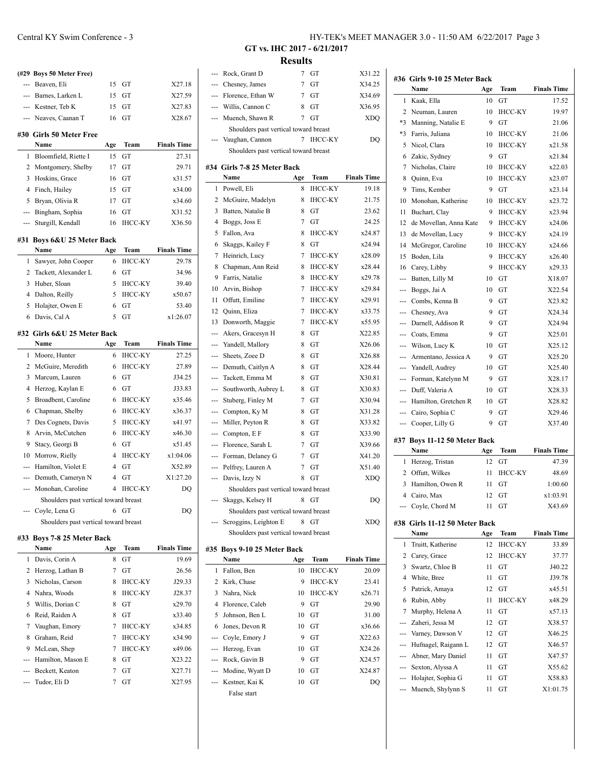|                | (#29 Boys 50 Meter Free)              |     |                |                    |
|----------------|---------------------------------------|-----|----------------|--------------------|
| ---            | Beaven, Eli                           | 15  | GТ             | X27.18             |
| ---            | Barnes. Larken L                      | 15  | GT             | X27.59             |
|                | --- Kestner, Teb K                    | 15  | GT             | X27.83             |
| ---            | Neaves, Caanan T                      | 16  | GT             | X28.67             |
|                |                                       |     |                |                    |
|                | #30 Girls 50 Meter Free<br>Name       |     | Team           | <b>Finals Time</b> |
|                |                                       | Age |                |                    |
| 1<br>2         | Bloomfield, Riette I                  | 15  | GT             | 27.31              |
|                | Montgomery, Shelby                    | 17  | GT             | 29.71<br>x31.57    |
| 3              | Hoskins, Grace                        | 16  | GT             |                    |
| 4<br>5         | Finch, Hailey<br>Bryan, Olivia R      | 15  | GT<br>GT       | x34.00             |
|                |                                       | 17  |                | x34.60             |
| ---            | Bingham, Sophia                       | 16  | GT             | X31.52             |
| ---            | Sturgill, Kendall                     | 16  | <b>IHCC-KY</b> | X36.50             |
| #31            | Boys 6&U 25 Meter Back                |     |                |                    |
|                | Name                                  | Age | Team           | <b>Finals Time</b> |
| 1              | Sawyer, John Cooper                   | 6   | <b>IHCC-KY</b> | 29.78              |
| 2              | Tackett, Alexander L                  | 6   | GТ             | 34.96              |
| 3              | Huber, Sloan                          | 5   | <b>IHCC-KY</b> | 39.40              |
| 4              | Dalton, Reilly                        | 5   | <b>IHCC-KY</b> | x50.67             |
| 5              | Holaiter, Owen E                      | 6   | GT             | 53.40              |
| 6              | Davis, Cal A                          | 5   | GT             | x1:26.07           |
|                |                                       |     |                |                    |
|                | #32 Girls 6&U 25 Meter Back           |     |                |                    |
|                | Name                                  | Age | Team           | <b>Finals Time</b> |
| 1              | Moore, Hunter                         | 6   | <b>IHCC-KY</b> | 27.25              |
| 2              | McGuire, Meredith                     | 6   | <b>IHCC-KY</b> | 27.89              |
| 3              | Marcum, Lauren                        | 6   | GT             | J34.25             |
| 4              | Herzog, Kaylan E                      | 6   | GT             | J33.83             |
| 5              | Broadbent, Caroline                   | 6   | <b>IHCC-KY</b> | x35.46             |
| 6              | Chapman, Shelby                       | 6   | <b>IHCC-KY</b> | x36.37             |
| 7              | Des Cognets, Davis                    | 5   | <b>IHCC-KY</b> | x41.97             |
| 8              | Arvin, McCutchen                      | 6   | <b>IHCC-KY</b> | x46.30             |
| 9              | Stacy, Georgi B                       | 6   | GT             | x51.45             |
| 10             | Morrow, Rielly                        | 4   | <b>IHCC-KY</b> | x1:04.06           |
| ---            | Hamilton, Violet E                    | 4   | GТ             | X52.89             |
| ---            | Demuth, Cameryn N                     | 4   | GT             | X1:27.20           |
| ---            | Monohan, Caroline                     | 4   | <b>IHCC-KY</b> | DQ                 |
|                | Shoulders past vertical toward breast |     |                |                    |
|                | Coyle, Lena G                         | 6   | GТ             | DQ                 |
|                | Shoulders past vertical toward breast |     |                |                    |
|                |                                       |     |                |                    |
| #33            | <b>Boys 7-8 25 Meter Back</b><br>Name | Age | Team           | <b>Finals Time</b> |
| 1              | Davis, Corin A                        | 8   | GT             | 19.69              |
| $\overline{c}$ | Herzog, Lathan B                      | 7   | GT             | 26.56              |

4 Nahra, Woods 8 IHCC-KY J28.37 5 Willis, Dorian C 8 GT x29.70 6 Reid, Raiden A 8 GT x33.40 7 Vaughan, Emory 7 IHCC-KY x34.85 8 Graham, Reid 7 IHCC-KY x34.90 9 McLean, Shep 7 IHCC-KY x49.06 --- Hamilton, Mason E 8 GT X23.22 --- Beckett, Keaton 7 GT X27.71 --- Tudor, Eli D 7 GT X27.95

| --- | Chesney, James                        | 7   | GТ             | X34.25             |
|-----|---------------------------------------|-----|----------------|--------------------|
| --- | Florence, Ethan W                     | 7   | GТ             | X34.69             |
| --- | Willis, Cannon C                      | 8   | GT             | X36.95             |
| --- | Muench, Shawn R                       | 7   | GТ             | <b>XDO</b>         |
|     | Shoulders past vertical toward breast |     |                |                    |
|     | Vaughan, Cannon                       | 7   | IHCC-KY        | DQ                 |
|     | Shoulders past vertical toward breast |     |                |                    |
|     | #34 Girls 7-8 25 Meter Back           |     |                |                    |
|     | Name                                  | Age | Team           | <b>Finals Time</b> |
| 1   | Powell, Eli                           | 8   | <b>IHCC-KY</b> | 19.18              |
| 2   | McGuire, Madelyn                      | 8   | <b>IHCC-KY</b> | 21.75              |
| 3   | Batten, Natalie B                     | 8   | GТ             | 23.62              |
| 4   | Boggs, Joss E                         | 7   | GТ             | 24.25              |
| 5   | Fallon, Ava                           | 8   | <b>IHCC-KY</b> | x24.87             |
| 6   | Skaggs, Kailey F                      | 8   | GT             | x24.94             |
| 7   | Heinrich, Lucy                        | 7   | <b>IHCC-KY</b> | x28.09             |
| 8   | Chapman, Ann Reid                     | 8   | <b>IHCC-KY</b> | x28.44             |
| 9   | Farris, Natalie                       | 8   | <b>IHCC-KY</b> | x29.78             |
| 10  | Arvin, Bishop                         | 7   | <b>IHCC-KY</b> | x29.84             |
| 11  | Offutt. Emiline                       | 7   | <b>IHCC-KY</b> | x29.91             |
| 12  | Quinn, Eliza                          | 7   | IHCC-KY        | x33.75             |
| 13  | Donworth, Maggie                      | 7   | IHCC-KY        | x55.95             |
| --- | Akers, Gracesyn H                     | 8   | GТ             | X22.85             |
| --- | Yandell, Mallory                      | 8   | GТ             | X26.06             |
|     | Sheets, Zoee D                        | 8   | GТ             | X26.88             |
| --- | Demuth, Caitlyn A                     | 8   | GT             | X28.44             |
| --- | Tackett, Emma M                       | 8   | GТ             | X30.81             |
|     | Southworth, Aubrey L                  | 8   | GТ             | X30.83             |
| --- | Stuberg, Finley M                     | 7   | GT             | X30.94             |
| --- | Compton, Ky M                         | 8   | GT             | X31.28             |
| --- | Miller, Peyton R                      | 8   | GT             | X33.82             |
| --- | Compton, E F                          | 8   | GT             | X33.90             |
| --- | Florence, Sarah L                     | 7   | GT             | X39.66             |
| --- | Forman, Delaney G                     | 7   | GТ             | X41.20             |
| --- | Pelfrey, Lauren A                     | 7   | GТ             | X51.40             |
| --- | Davis, Izzy N                         | 8   | GТ             | XDQ                |
|     | Shoulders past vertical toward breast |     |                |                    |
|     | Skaggs, Kelsey H                      | 8   | GТ             | DO                 |
|     | Shoulders past vertical toward breast |     |                |                    |
|     | Scroggins, Leighton E                 | 8   | GТ             | XDQ                |
|     | Shoulders past vertical toward breast |     |                |                    |
|     |                                       |     |                |                    |
|     | #35 Boys 9-10 25 Meter Back           |     |                |                    |
|     | Name                                  | Age | Team           | <b>Finals Time</b> |
| 1   | Fallon, Ben                           | 10  | ІНСС-КҮ        | 20.09              |
| 2   | Kirk, Chase                           | 9   | ІНСС-КҮ        | 23.41              |
| 3   | Nahra, Nick                           | 10  | ІНСС-КҮ        | x26.71             |
| 4   | Florence, Caleb                       | 9   | GТ             | 29.90              |
| 5   | Johnson, Ben L                        | 10  | GT             | 31.00              |
| 6   | Jones, Devon R                        | 10  | GT             | x36.66             |
| --- | Coyle, Emory J                        | 9   | GT             | X22.63             |
| --- | Herzog, Evan                          | 10  | GТ             | X24.26             |
| --- | Rock, Gavin B                         | 9   | GT             | X24.57             |
| --- | Modine, Wyatt D                       | 10  | GT             | X24.87             |
| --- | Kestner, Kai K                        | 10  | GT             | DQ                 |
|     | False start                           |     |                |                    |

**GT vs. IHC 2017 - 6/21/2017 Results**

| --- | Rock, Grant D                         | 7   | GT             | X31.22             |                          | #36 Girls 9-10 25 Meter Back           |          |                |                    |
|-----|---------------------------------------|-----|----------------|--------------------|--------------------------|----------------------------------------|----------|----------------|--------------------|
|     | Chesney, James                        | 7   | GT             | X34.25             |                          | Name                                   | Age      | Team           | <b>Finals Time</b> |
| --- | Florence, Ethan W                     | 7   | GT             | X34.69             |                          | 1 Kaak, Ella                           | 10       | GT             | 17.52              |
| --- | Willis, Cannon C                      | 8   | GT             | X36.95             | $\mathbf{2}$             | Neuman, Lauren                         | 10       | <b>IHCC-KY</b> | 19.97              |
| --- | Muench, Shawn R                       | 7   | GT             | <b>XDQ</b>         | *3                       | Manning, Natalie E                     | 9        | GT             | 21.06              |
|     | Shoulders past vertical toward breast |     |                |                    | *3                       | Farris, Juliana                        | 10       | <b>IHCC-KY</b> | 21.06              |
|     | --- Vaughan, Cannon                   |     | 7 IHCC-KY      | DQ                 | 5                        | Nicol, Clara                           | 10       | <b>IHCC-KY</b> | x21.58             |
|     | Shoulders past vertical toward breast |     |                |                    | 6                        | Zakic, Sydney                          | 9        | GT             | x21.84             |
|     | <b>34 Girls 7-8 25 Meter Back</b>     |     |                |                    | 7                        | Nicholas, Claire                       | 10       | <b>IHCC-KY</b> | x22.03             |
|     | Name                                  | Age | Team           | <b>Finals Time</b> | 8                        | Quinn, Eva                             | 10       | <b>IHCC-KY</b> | x23.07             |
|     | 1 Powell, Eli                         | 8   | <b>IHCC-KY</b> | 19.18              | 9                        | Tims, Kember                           | 9        | GT             | x23.14             |
| 2   | McGuire, Madelyn                      | 8   | <b>IHCC-KY</b> | 21.75              | 10                       | Monohan, Katherine                     | 10       | <b>IHCC-KY</b> | x23.72             |
| 3   | Batten, Natalie B                     | 8   | GT             | 23.62              | 11                       | Buchart, Clay                          | 9        | <b>IHCC-KY</b> | x23.94             |
| 4   | Boggs, Joss E                         | 7   | GT             | 24.25              | 12                       | de Movellan, Anna Kate                 | 9        | <b>IHCC-KY</b> | x24.06             |
| 5   | Fallon, Ava                           | 8   | <b>IHCC-KY</b> | x24.87             | 13                       | de Movellan, Lucy                      | 9        | <b>IHCC-KY</b> | x24.19             |
| 6   | Skaggs, Kailey F                      | 8   | GT             | x24.94             | 14                       | McGregor, Caroline                     | 10       | <b>IHCC-KY</b> | x24.66             |
| 7   | Heinrich, Lucy                        | 7   | IHCC-KY        | x28.09             | 15                       | Boden, Lila                            | 9        | <b>IHCC-KY</b> | x26.40             |
| 8   | Chapman, Ann Reid                     | 8   | IHCC-KY        | x28.44             | 16                       | Carey, Libby                           | 9        | <b>IHCC-KY</b> | x29.33             |
| 9   | Farris, Natalie                       | 8   | IHCC-KY        | x29.78             | ---                      | Batten, Lilly M                        | 10       | GT             | X18.07             |
| 10  | Arvin, Bishop                         | 7   | ІНСС-КҮ        | x29.84             | ---                      | Boggs, Jai A                           | 10       | GT             | X22.54             |
| 11  | Offutt, Emiline                       | 7   | <b>IHCC-KY</b> | x29.91             | $---$                    | Combs, Kenna B                         | 9        | GT             | X23.82             |
| 12  | Quinn, Eliza                          | 7   | ІНСС-КҮ        | x33.75             |                          | Chesney, Ava                           | 9        | GT             | X24.34             |
| 13  | Donworth, Maggie                      | 7   | IHCC-KY        | x55.95             |                          | Darnell, Addison R                     | 9        | GT             | X24.94             |
| --- | Akers, Gracesyn H                     | 8   | GT             | X22.85             | $\hspace{0.05cm} \ldots$ | Coats, Emma                            | 9        | GT             | X25.01             |
| --- | Yandell, Mallory                      | 8   | GT             | X26.06             | $---$                    | Wilson, Lucy K                         | 10       | GT             | X25.12             |
| --- | Sheets, Zoee D                        | 8   | GT             | X26.88             |                          | Armentano, Jessica A                   | 9        | GT             | X25.20             |
| --- | Demuth, Caitlyn A                     | 8   | GT             | X28.44             | ---                      | Yandell, Audrey                        | 10       | GT             | X25.40             |
| --- | Tackett, Emma M                       | 8   | GT             | X30.81             | $---$                    | Forman, Katelynn M                     | 9        | GT             | X28.17             |
|     | Southworth, Aubrey L                  | 8   | GT             | X30.83             | $---$                    | Duff, Valeria A                        | 10       | GT             | X28.33             |
| --- | Stuberg, Finley M                     | 7   | GT             | X30.94             | ---                      | Hamilton, Gretchen R                   | 10       | GT             | X28.82             |
| --- | Compton, Ky M                         | 8   | GT             | X31.28             |                          | Cairo, Sophia C                        | 9        | GT             | X29.46             |
|     | Miller, Peyton R                      | 8   | GT             | X33.82             |                          | Cooper, Lilly G                        | 9        | GT             | X37.40             |
| --- | Compton, E F                          | 8   | GT             | X33.90             |                          |                                        |          |                |                    |
| --- | Florence, Sarah L                     | 7   | GT             | X39.66             |                          | #37 Boys 11-12 50 Meter Back<br>Name   | Age      | Team           | <b>Finals Time</b> |
| --- | Forman, Delaney G                     | 7   | GT             | X41.20             |                          | 1 Herzog, Tristan                      | 12       | GT             | 47.39              |
| --- | Pelfrey, Lauren A                     | 7   | GT             | X51.40             | $\overline{2}$           | Offutt, Wilkes                         | 11       | <b>IHCC-KY</b> | 48.69              |
|     | --- Davis, Izzy N                     | 8   | GT             | <b>XDQ</b>         | 3                        | Hamilton, Owen R                       | 11       | GТ             | 1:00.60            |
|     | Shoulders past vertical toward breast |     |                |                    | 4                        | Cairo, Max                             | 12       | GT             | x1:03.91           |
|     | --- Skaggs, Kelsey H                  |     | 8 GT           | DQ                 |                          | --- Coyle, Chord M                     |          | 11 GT          | X43.69             |
|     | Shoulders past vertical toward breast |     |                |                    |                          |                                        |          |                |                    |
|     | --- Scroggins, Leighton E             |     | 8 GT           | <b>XDQ</b>         |                          | #38 Girls 11-12 50 Meter Back          |          |                |                    |
|     | Shoulders past vertical toward breast |     |                |                    |                          | Name                                   | Age      | Team           | <b>Finals Time</b> |
|     | 35 Boys 9-10 25 Meter Back            |     |                |                    |                          | 1 Truitt, Katherine                    | 12       | <b>IHCC-KY</b> | 33.89              |
|     | Name                                  | Age | <b>Team</b>    | <b>Finals Time</b> |                          | 2 Carey, Grace                         | 12       | <b>IHCC-KY</b> | 37.77              |
|     | 1 Fallon, Ben                         | 10  | <b>IHCC-KY</b> | 20.09              |                          | 3 Swartz, Chloe B                      | 11       | GT             | J40.22             |
| 2   | Kirk, Chase                           | 9   | <b>IHCC-KY</b> | 23.41              |                          | 4 White, Bree                          | 11       | GT             | J39.78             |
| 3   | Nahra, Nick                           | 10  | IHCC-KY        | x26.71             | 5                        | Patrick, Amaya                         | 12       | GT             | x45.51             |
| 4   | Florence, Caleb                       | 9   | GT             | 29.90              | 6                        | Rubin, Abby                            | 11       | <b>IHCC-KY</b> | x48.29             |
| 5   | Johnson, Ben L                        | 10  | GT             | 31.00              | 7                        | Murphy, Helena A                       | 11       | GT             | x57.13             |
| 6   | Jones, Devon R                        | 10  | GT             | x36.66             | ---                      | Zaheri, Jessa M                        | 12       | GT             | X38.57             |
|     | Coyle, Emory J                        | 9   | GT             | X22.63             | ---                      | Varney, Dawson V                       | 12       | GT             | X46.25             |
|     | Herzog, Evan                          | 10  | GT             | X24.26             | ---                      | Hufnagel, Raigann L                    | 12       | GT             | X46.57             |
|     | Rock, Gavin B                         | 9   | GT             | X24.57             | $\overline{\phantom{a}}$ | Abner, Mary Daniel                     | 11       | GT             | X47.57             |
|     | Modine, Wyatt D                       | 10  | GT             | X24.87             | ---                      | Sexton, Alyssa A<br>Holajter, Sophia G | 11<br>11 | GT<br>GT       | X55.62             |
|     | Kestner, Kai K                        | 10  | GT             | DQ                 |                          | Muench, Shylynn S                      | 11       | GT             | X58.83             |
|     | False start                           |     |                |                    |                          |                                        |          |                | X1:01.75           |
|     |                                       |     |                |                    |                          |                                        |          |                |                    |
|     |                                       |     |                |                    |                          |                                        |          |                |                    |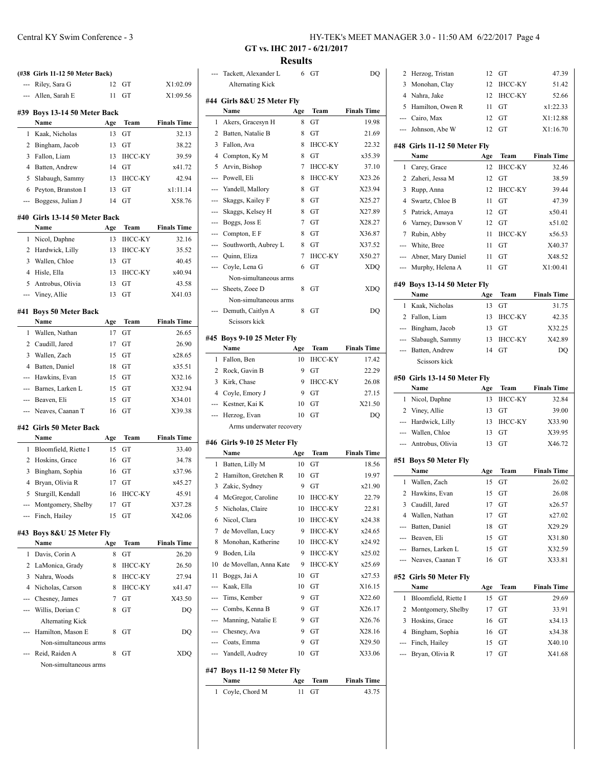| ---                       | (#38 Girls 11-12 50 Meter Back)<br>Riley, Sara G | 12       | GT             | X1:02.09           |  |  |  |  |
|---------------------------|--------------------------------------------------|----------|----------------|--------------------|--|--|--|--|
| ---                       | Allen, Sarah E                                   | 11       | GT             | X1:09.56           |  |  |  |  |
|                           |                                                  |          |                |                    |  |  |  |  |
|                           | #39 Boys 13-14 50 Meter Back                     |          |                |                    |  |  |  |  |
|                           | Name                                             | Age      | Team           | <b>Finals Time</b> |  |  |  |  |
| 1                         | Kaak, Nicholas                                   | 13       | GT             | 32.13              |  |  |  |  |
| 2                         | Bingham, Jacob                                   | 13       | GT             | 38.22              |  |  |  |  |
| 3                         | Fallon, Liam                                     | 13       | <b>IHCC-KY</b> | 39.59              |  |  |  |  |
| 4                         | Batten, Andrew                                   | 14       | GT             | x41.72             |  |  |  |  |
| 5                         | Slabaugh, Sammy                                  | 13       | <b>IHCC-KY</b> | 42.94              |  |  |  |  |
| 6                         | Peyton, Branston I                               | 13       | GT             | x1:11.14           |  |  |  |  |
| ---                       | Boggess, Julian J                                | 14       | GT             | X58.76             |  |  |  |  |
|                           | #40 Girls 13-14 50 Meter Back                    |          |                |                    |  |  |  |  |
|                           | Name                                             | Age      | Team           | <b>Finals Time</b> |  |  |  |  |
| 1                         | Nicol, Daphne                                    | 13       | <b>IHCC-KY</b> | 32.16              |  |  |  |  |
| 2                         | Hardwick, Lilly                                  | 13       | <b>IHCC-KY</b> | 35.52              |  |  |  |  |
| 3                         | Wallen, Chloe                                    | 13       | GT             | 40.45              |  |  |  |  |
| 4                         | Hisle, Ella                                      | 13       | IHCC-KY        | x40.94             |  |  |  |  |
| 5                         | Antrobus, Olivia                                 | 13       | GT             | 43.58              |  |  |  |  |
| ---                       | Viney, Allie                                     | 13       | GT             | X41.03             |  |  |  |  |
|                           |                                                  |          |                |                    |  |  |  |  |
| #41                       | <b>Boys 50 Meter Back</b>                        |          |                |                    |  |  |  |  |
|                           | Name                                             | Age      | Team           | <b>Finals Time</b> |  |  |  |  |
| 1                         | Wallen, Nathan                                   | 17       | GT             | 26.65              |  |  |  |  |
| $\overline{2}$            | Caudill, Jared                                   | 17       | GТ             | 26.90              |  |  |  |  |
| 3<br>4                    | Wallen, Zach                                     | 15       | GT             | x28.65             |  |  |  |  |
|                           | Batten, Daniel                                   | 18       | GТ             | x35.51             |  |  |  |  |
| ---                       | Hawkins, Evan                                    | 15       | GТ             | X32.16             |  |  |  |  |
| ---                       | Barnes, Larken L                                 | 15       | GT             | X32.94             |  |  |  |  |
|                           | --- Beaven, Eli                                  | 15<br>16 | GT             | X34.01<br>X39.38   |  |  |  |  |
| ---                       | Neaves, Caanan T                                 |          | GТ             |                    |  |  |  |  |
|                           | #42 Girls 50 Meter Back                          |          |                |                    |  |  |  |  |
|                           | Name                                             | Age      | Team           | <b>Finals Time</b> |  |  |  |  |
| 1                         | Bloomfield, Riette I                             | 15       | GT             | 33.40              |  |  |  |  |
| $\overline{c}$            | Hoskins, Grace                                   | 16       | GT             | 34.78              |  |  |  |  |
| 3                         | Bingham, Sophia                                  | 16       | GТ             | x37.96             |  |  |  |  |
| 4                         | Bryan, Olivia R                                  | 17       | GТ             | x45.27             |  |  |  |  |
|                           | 5 Sturgill, Kendall                              | 16       | IHCC-KY        | 45.91              |  |  |  |  |
|                           | Montgomery, Shelby                               | 17       | GТ             | X37.28             |  |  |  |  |
|                           | Finch, Hailey                                    | 15       | GТ             | X42.06             |  |  |  |  |
| #43 Boys 8&U 25 Meter Fly |                                                  |          |                |                    |  |  |  |  |
|                           |                                                  | Age      | Team           | <b>Finals Time</b> |  |  |  |  |
|                           | Name                                             |          |                | 26.20              |  |  |  |  |
| 1                         | Davis, Corin A                                   | 8        | GT             |                    |  |  |  |  |
| $\overline{c}$            | LaMonica, Grady                                  | 8        | IHCC-KY        | 26.50              |  |  |  |  |
| 3                         | Nahra, Woods                                     | 8        | <b>IHCC-KY</b> | 27.94              |  |  |  |  |
| 4                         | Nicholas, Carson                                 | 8        | <b>IHCC-KY</b> | x41.47             |  |  |  |  |
|                           | Chesney, James                                   | 7        | GT             | X43.50             |  |  |  |  |
| ---                       | Willis, Dorian C                                 | 8        | GT             |                    |  |  |  |  |
|                           | <b>Alternating Kick</b>                          |          |                |                    |  |  |  |  |
|                           | Hamilton, Mason E                                | 8        | GT             | DQ<br>DQ           |  |  |  |  |
|                           | Non-simultaneous arms                            |          |                |                    |  |  |  |  |
|                           | Reid, Raiden A                                   | 8        | GT             | XDQ                |  |  |  |  |

# Central KY Swim Conference - 3 HY-TEK's MEET MANAGER 3.0 - 11:50 AM 6/22/2017 Page 4

**GT vs. IHC 2017 - 6/21/2017 Results**

|                | Tackett, Alexander L<br><b>Alternating Kick</b> | 6   | GT             | DQ                 |  |  |
|----------------|-------------------------------------------------|-----|----------------|--------------------|--|--|
|                |                                                 |     |                |                    |  |  |
|                | #44  Girls 8&U 25 Meter Fly                     |     |                |                    |  |  |
|                | Name                                            | Age | Team           | <b>Finals Time</b> |  |  |
| 1              | Akers, Gracesyn H                               | 8   | GТ             | 19.98              |  |  |
| 2              | Batten, Natalie B                               | 8   | GТ             | 21.69              |  |  |
| 3              | Fallon, Ava                                     | 8   | <b>IHCC-KY</b> | 22.32              |  |  |
| 4              | Compton, Ky M                                   | 8   | GT             | x35.39             |  |  |
| 5              | Arvin, Bishop                                   | 7   | IHCC-KY        | 37.10              |  |  |
| ---            | Powell, Eli                                     | 8   | <b>IHCC-KY</b> | X23.26             |  |  |
| ---            | Yandell, Mallory                                | 8   | GT             | X23.94             |  |  |
| ---            | Skaggs, Kailey F                                | 8   | GТ             | X25.27             |  |  |
| ---            | Skaggs, Kelsey H                                | 8   | GТ             | X27.89             |  |  |
|                | --- Boggs, Joss E                               | 7   | GT             | X28.27             |  |  |
|                | --- Compton, E F                                | 8   | GT             | X36.87             |  |  |
| ---            | Southworth, Aubrey L                            | 8   | GТ             | X37.52             |  |  |
| ---            | Quinn, Eliza                                    | 7   | <b>IHCC-KY</b> | X50.27             |  |  |
|                | Coyle, Lena G                                   | 6   | GТ             | <b>XDQ</b>         |  |  |
|                | Non-simultaneous arms                           |     |                |                    |  |  |
|                | Sheets, Zoee D                                  | 8   | GT             | <b>XDO</b>         |  |  |
|                | Non-simultaneous arms                           |     |                |                    |  |  |
|                | Demuth, Caitlyn A                               | 8   | GТ             | DQ                 |  |  |
|                | Scissors kick                                   |     |                |                    |  |  |
|                | #45 Boys 9-10 25 Meter Fly                      |     |                |                    |  |  |
|                | Name                                            | Age | Team           | <b>Finals Time</b> |  |  |
| 1              | Fallon, Ben                                     | 10  | <b>IHCC-KY</b> | 17.42              |  |  |
| 2              | Rock, Gavin B                                   | 9   | GТ             | 22.29              |  |  |
| 3              | Kirk, Chase                                     | 9   | IHCC-KY        | 26.08              |  |  |
| $\overline{4}$ | Coyle, Emory J                                  | 9   | GT             | 27.15              |  |  |
| ---            | Kestner, Kai K                                  | 10  | GТ             | X21.50             |  |  |
| ---            | Herzog, Evan                                    | 10  | GТ             | DQ                 |  |  |
|                | Arms underwater recovery                        |     |                |                    |  |  |
|                | #46 Girls 9-10 25 Meter Fly                     |     |                |                    |  |  |
|                | Name                                            | Age | Team           | <b>Finals Time</b> |  |  |
| 1              | Batten, Lilly M                                 | 10  | GT             | 18.56              |  |  |
| 2              | Hamilton, Gretchen R                            | 10  | GT             | 19.97              |  |  |
| 3              | Zakic, Sydney                                   | 9   | GТ             | x21.90             |  |  |
|                | 4 McGregor, Caroline                            |     | 10 IHCC-KY     | 22.79              |  |  |
| 5              | Nicholas, Claire                                | 10  | <b>IHCC-KY</b> | 22.81              |  |  |
| 6              | Nicol, Clara                                    | 10  | ІНСС-КҮ        | x24.38             |  |  |
| 7              | de Movellan, Lucy                               | 9   | IHCC-KY        | x24.65             |  |  |
| 8              | Monohan, Katherine                              | 10  | ІНСС-КҮ        | x24.92             |  |  |
| 9              | Boden, Lila                                     | 9   | ІНСС-КҮ        | x25.02             |  |  |
| 10             | de Movellan, Anna Kate                          | 9   | <b>IHCC-KY</b> | x25.69             |  |  |
| 11             | Boggs, Jai A                                    | 10  | GT             | x27.53             |  |  |
| ---            | Kaak, Ella                                      | 10  | GT             | X16.15             |  |  |
| ---            | Tims, Kember                                    | 9   | GT             | X22.60             |  |  |
| ---            | Combs, Kenna B                                  | 9   | GT             | X26.17             |  |  |
| ---            | Manning, Natalie E                              | 9   | GT             | X26.76             |  |  |
|                |                                                 | 9   | GT             | X28.16             |  |  |
| ---            | Chesney, Ava                                    |     |                |                    |  |  |
| ---            | Coats, Emma                                     | 9   | GT             | X29.50             |  |  |
|                | --- Yandell, Audrey                             | 10  | GT             | X33.06             |  |  |
|                | #47 Boys 11-12 50 Meter Fly                     |     |                |                    |  |  |
|                | Name                                            | Age | Team           | <b>Finals Time</b> |  |  |
| 1              | Coyle, Chord M                                  | 11  | GT             | 43.75              |  |  |

| 2              | Herzog, Tristan              | 12  | GT             | 47.39              |
|----------------|------------------------------|-----|----------------|--------------------|
| 3              | Monohan, Clay                | 12  | <b>IHCC-KY</b> | 51.42              |
|                | 4 Nahra, Jake                | 12  | <b>IHCC-KY</b> | 52.66              |
| 5              | Hamilton, Owen R             | 11  | GT             | x1:22.33           |
|                | --- Cairo, Max               | 12  | GТ             | X1:12.88           |
| ---            | Johnson, Abe W               | 12  | GT             | X1:16.70           |
|                |                              |     |                |                    |
|                | #48 Girls 11-12 50 Meter Fly |     |                |                    |
|                | Name                         | Age | Team           | <b>Finals Time</b> |
| 1              | Carey, Grace                 | 12  | <b>IHCC-KY</b> | 32.46              |
| 2              | Zaheri, Jessa M              | 12  | GТ             | 38.59              |
| 3              | Rupp, Anna                   | 12  | IHCC-KY        | 39.44              |
| 4              | Swartz, Chloe B              | 11  | GТ             | 47.39              |
| 5              | Patrick, Amaya               | 12  | GT             | x50.41             |
| 6              | Varney, Dawson V             | 12  | GT             | x51.02             |
| 7              | Rubin, Abby                  | 11  | <b>IHCC-KY</b> | x56.53             |
| ---            | White, Bree                  | 11  | GT             | X40.37             |
| $---$          | Abner, Mary Daniel           | 11  | GT             | X48.52             |
| ---            | Murphy, Helena A             | 11  | GT             | X1:00.41           |
|                | #49 Boys 13-14 50 Meter Fly  |     |                |                    |
|                | Name                         | Age | Team           | <b>Finals Time</b> |
| 1              | Kaak, Nicholas               | 13  | GT             | 31.75              |
| 2              | Fallon, Liam                 | 13  | <b>IHCC-KY</b> | 42.35              |
|                | --- Bingham, Jacob           | 13  | GT             | X32.25             |
| $---$          | Slabaugh, Sammy              | 13  | <b>IHCC-KY</b> | X42.89             |
| ---            | Batten, Andrew               | 14  | GТ             | DQ                 |
|                | Seissors kick                |     |                |                    |
|                |                              |     |                |                    |
|                |                              |     |                |                    |
|                | #50 Girls 13-14 50 Meter Fly |     |                |                    |
|                | Name                         | Age | Team           | <b>Finals Time</b> |
| 1              | Nicol, Daphne                | 13  | IHCC-KY        | 32.84              |
| 2              | Viney, Allie                 | 13  | GT             | 39.00              |
| $\overline{a}$ | Hardwick, Lilly              | 13  | IHCC-KY        | X33.90             |
|                | --- Wallen, Chloe            | 13  | GT             | X39.95             |
| ---            | Antrobus, Olivia             | 13  | GT             | X46.72             |
|                | #51 Boys 50 Meter Fly        |     |                |                    |
|                | Name                         | Age | Team           | <b>Finals Time</b> |
| 1              | Wallen, Zach                 | 15  | GT             | 26.02              |
| $\overline{2}$ | Hawkins, Evan                | 15  | GT             | 26.08              |
| 3              | Caudill, Jared               | 17  | GТ             | x26.57             |
| 4              | Wallen, Nathan               | 17  | GT             | x27.02             |
| ---            | Batten, Daniel               | 18  | GT             | X29.29             |
| $---$          | Beaven, Eli                  | 15  | GT             | X31.80             |
|                | --- Barnes, Larken L         | 15  | GТ             | X32.59             |
|                | Neaves, Caanan T             | 16  | GТ             | X33.81             |
|                |                              |     |                |                    |
|                | #52 Girls 50 Meter Fly       |     |                |                    |
|                | Name                         | Age | Team           | <b>Finals Time</b> |
| 1              | Bloomfield, Riette I         | 15  | GT             | 29.69              |
| 2              | Montgomery, Shelby           | 17  | GТ             | 33.91              |
| 3              | Hoskins, Grace               | 16  | GT             | x34.13             |
| $\overline{4}$ | Bingham, Sophia              | 16  | GT             | x34.38             |
| ---            | Finch, Hailey                | 15  | GТ             | X40.10             |
| ---            | Bryan, Olivia R              | 17  | GT             | X41.68             |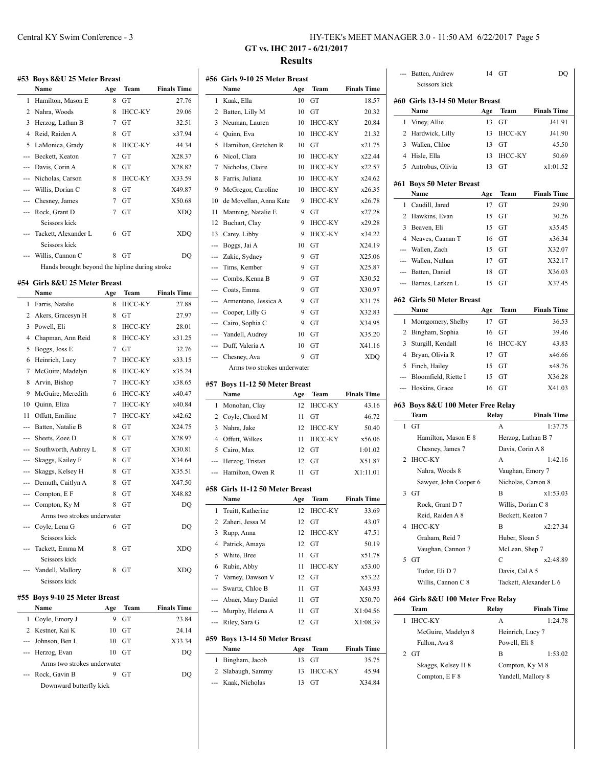|                | #53 Boys 8&U 25 Meter Breast                   |     |                |                    |
|----------------|------------------------------------------------|-----|----------------|--------------------|
|                | Name                                           | Age | Team           | <b>Finals Time</b> |
| $\mathbf{1}$   | Hamilton, Mason E                              | 8   | GT             | 27.76              |
| 2              | Nahra, Woods                                   | 8   | IHCC-KY        | 29.06              |
| 3              | Herzog, Lathan B                               | 7   | GT             | 32.51              |
| 4              | Reid, Raiden A                                 | 8   | GT             | x37.94             |
| 5              | LaMonica, Grady                                | 8   | <b>IHCC-KY</b> | 44.34              |
| ---            | Beckett, Keaton                                | 7   | GT             | X28.37             |
| ---            | Davis, Corin A                                 | 8   | GT             | X28.82             |
| ---            | Nicholas, Carson                               | 8   | <b>IHCC-KY</b> | X33.59             |
|                | Willis, Dorian C                               | 8   | GT             | X49.87             |
| ---            | Chesney, James                                 | 7   | GТ             | X50.68             |
| $\overline{a}$ | Rock, Grant D                                  | 7   | GT             | <b>XDO</b>         |
|                | Seissors kiek                                  |     |                |                    |
|                | Tackett, Alexander L                           | 6   | GT             | <b>XDO</b>         |
|                | Scissors kick                                  |     |                |                    |
|                | Willis, Cannon C                               | 8   | GТ             | DO                 |
|                | Hands brought beyond the hipline during stroke |     |                |                    |
|                | #54 Girls 8&U 25 Meter Breast                  |     |                |                    |
|                | Name                                           | Age | Team           | <b>Finals Time</b> |
| 1              | Farris, Natalie                                | 8   | <b>IHCC-KY</b> | 27.88              |
| 2              | Akers, Gracesyn H                              | 8   | GТ             | 27.97              |
| 3              | Powell, Eli                                    | 8   | <b>IHCC-KY</b> | 28.01              |
| 4              | Chapman, Ann Reid                              | 8   | <b>IHCC-KY</b> | x31.25             |
| 5              | Boggs, Joss E                                  | 7   | GT             | 32.76              |
| 6              | Heinrich, Lucy                                 | 7   | <b>IHCC-KY</b> | x33.15             |
| 7              | McGuire, Madelyn                               | 8   | <b>IHCC-KY</b> | x35.24             |
| 8              | Arvin, Bishop                                  | 7   | <b>IHCC-KY</b> | x38.65             |
| 9              | McGuire, Meredith                              | 6   | <b>IHCC-KY</b> | x40.47             |
| 10             | Quinn, Eliza                                   | 7   | <b>IHCC-KY</b> | x40.84             |
| 11             | Offutt, Emiline                                | 7   | <b>IHCC-KY</b> | x42.62             |
| ---            | Batten, Natalie B                              | 8   | GT             | X24.75             |
| ---            | Sheets, Zoee D                                 | 8   | GТ             | X28.97             |
| ---            | Southworth, Aubrey L                           | 8   | GT             | X30.81             |

| 10       | Quinn, Eliza                  | 7 | IHCC-KY        | x40.84     |
|----------|-------------------------------|---|----------------|------------|
| 11       | Offutt, Emiline               | 7 | <b>IHCC-KY</b> | x42.62     |
|          | Batten, Natalie B             | 8 | GT             | X24.75     |
|          | Sheets, Zoee D                | 8 | GT             | X28.97     |
|          | --- Southworth, Aubrey L      | 8 | GT             | X30.81     |
| $---$    | Skaggs, Kailey F              | 8 | GT             | X34.64     |
| $\cdots$ | Skaggs, Kelsey H              | 8 | GT             | X35.51     |
|          | --- Demuth, Caitlyn A         | 8 | GT             | X47.50     |
|          | --- Compton, E F              | 8 | GT             | X48.82     |
|          | --- Compton, Ky M             | 8 | GT             | DQ         |
|          | Arms two strokes underwater   |   |                |            |
|          | --- Coyle, Lena G             | 6 | GT             | DQ         |
|          | Scissors kick                 |   |                |            |
|          | --- Tackett, Emma M           | 8 | GT             | XDQ        |
|          | Scissors kick                 |   |                |            |
|          | --- Yandell, Mallory          | 8 | GТ             | <b>XDQ</b> |
|          | Scissors kick                 |   |                |            |
|          | #55 Boys 9-10 25 Meter Breast |   |                |            |

| Name                        | Age | Team | <b>Finals Time</b> |
|-----------------------------|-----|------|--------------------|
| 1 Coyle, Emory J            | 9   | GT   | 23.84              |
| 2 Kestner, Kai K            | 10  | GT   | 24.14              |
| --- Johnson, Ben L          | 10  | GT   | X33.34             |
| --- Herzog, Evan            | 10  | GT   | DO                 |
| Arms two strokes underwater |     |      |                    |
| --- Rock, Gavin B           |     | GT   | ( )( )             |
| Downward butterfly kick     |     |      |                    |

# Central KY Swim Conference - 3 HY-TEK's MEET MANAGER 3.0 - 11:50 AM 6/22/2017 Page 5

# **GT vs. IHC 2017 - 6/21/2017 Results**

|     | #56 Girls 9-10 25 Meter Breast  |     |                |                                                                                                             |
|-----|---------------------------------|-----|----------------|-------------------------------------------------------------------------------------------------------------|
|     | Name                            | Age | Team           | <b>Finals Time</b>                                                                                          |
| 1   | Kaak, Ella                      | 10  | GT             | 18.57                                                                                                       |
| 2   | Batten, Lilly M                 | 10  | GТ             | 20.32                                                                                                       |
| 3   | Neuman, Lauren                  | 10  | <b>IHCC-KY</b> | 20.84                                                                                                       |
| 4   | Quinn, Eva                      | 10  | <b>IHCC-KY</b> | 21.32                                                                                                       |
| 5   | Hamilton, Gretchen R            | 10  | GT             | x21.75                                                                                                      |
| 6   | Nicol, Clara                    | 10  | <b>IHCC-KY</b> | x22.44                                                                                                      |
| 7   | Nicholas, Claire                | 10  | <b>IHCC-KY</b> | x22.57                                                                                                      |
| 8   | Farris, Juliana                 | 10  | <b>IHCC-KY</b> | x24.62                                                                                                      |
| 9   | McGregor, Caroline              | 10  | <b>IHCC-KY</b> | x26.35                                                                                                      |
| 10  | de Movellan, Anna Kate          | 9   | <b>IHCC-KY</b> | x26.78                                                                                                      |
| 11  | Manning, Natalie E              | 9   | GT             | x27.28                                                                                                      |
| 12  | Buchart, Clay                   | 9   | <b>IHCC-KY</b> | x29.28                                                                                                      |
| 13  | Carey, Libby                    | 9   | <b>IHCC-KY</b> | x34.22                                                                                                      |
| --- | Boggs, Jai A                    | 10  | GT             | X24.19                                                                                                      |
| --- | Zakic, Sydney                   | 9   | GT             | X25.06                                                                                                      |
| --- | Tims, Kember                    | 9   | GT             | X25.87                                                                                                      |
|     | Combs, Kenna B                  | 9   | GT             | X30.52                                                                                                      |
| --- | Coats, Emma                     | 9   | GT             | X30.97                                                                                                      |
| --- | Armentano, Jessica A            | 9   | GT             | X31.75                                                                                                      |
|     | --- Cooper, Lilly G             | 9   | GT             | X32.83                                                                                                      |
| --- | Cairo, Sophia C                 | 9   | GT             | X34.95                                                                                                      |
| --- | Yandell, Audrey                 | 10  | GТ             | X35.20                                                                                                      |
| --- | Duff, Valeria A                 | 10  | GТ             | X41.16                                                                                                      |
| --- | Chesney, Ava                    | 9   | GТ             | XDQ                                                                                                         |
|     | Arms two strokes underwater     |     |                |                                                                                                             |
|     | #57 Boys 11-12 50 Meter Breast  |     |                |                                                                                                             |
|     |                                 |     |                |                                                                                                             |
|     | Name                            | Age | Team           |                                                                                                             |
| 1   | Monohan, Clay                   | 12  | ІНСС-КҮ        |                                                                                                             |
| 2   | Coyle, Chord M                  | 11  | GT             | 46.72                                                                                                       |
| 3   | Nahra, Jake                     | 12  | <b>IHCC-KY</b> | 50.40                                                                                                       |
| 4   | Offutt, Wilkes                  | 11  | IHCC-KY        | x56.06                                                                                                      |
| 5   | Cairo, Max                      | 12  | GТ             | 1:01.02                                                                                                     |
| --- | Herzog, Tristan                 | 12  | GТ             |                                                                                                             |
| --- | Hamilton, Owen R                | 11  | GТ             | X1:11.01                                                                                                    |
|     | #58 Girls 11-12 50 Meter Breast |     |                |                                                                                                             |
|     | Name                            | Age | Team           |                                                                                                             |
| 1   | Truitt, Katherine               | 12  | <b>IHCC-KY</b> |                                                                                                             |
| 2   | Zaheri, Jessa M                 | 12  | GТ             |                                                                                                             |
| 3   | Rupp, Anna                      | 12  | <b>IHCC-KY</b> | 47.51                                                                                                       |
| 4   | Patrick, Amaya                  | 12  | GT             | 50.19                                                                                                       |
| 5   | White, Bree                     | 11  | GT             |                                                                                                             |
| 6   | Rubin, Abby                     | 11  | <b>IHCC-KY</b> |                                                                                                             |
| 7   | Varney, Dawson V                | 12  | GT             | <b>Finals Time</b><br>43.16<br>X51.87<br><b>Finals Time</b><br>33.69<br>43.07<br>x51.78<br>x53.00<br>x53.22 |
| --- | Swartz, Chloe B                 | 11  | GT             |                                                                                                             |
| --- | Abner, Mary Daniel              | 11  | GT             |                                                                                                             |
| --- | Murphy, Helena A                | 11  | GT             |                                                                                                             |
| --- | Riley, Sara G                   | 12  | GT             |                                                                                                             |
|     | #59 Boys 13-14 50 Meter Breast  |     |                |                                                                                                             |
|     | Name                            | Age | Team           | X43.93<br>X50.70<br>X1:04.56<br>X1:08.39<br><b>Finals Time</b>                                              |
| 1   | Bingham, Jacob                  | 13  | GТ             |                                                                                                             |
| 2   | Slabaugh, Sammy                 | 13  | ІНСС-КҮ        | 35.75<br>45.94                                                                                              |

| $---$          | Batten, Andrew                     | 14  | GТ                     | DQ                 |
|----------------|------------------------------------|-----|------------------------|--------------------|
|                | Scissors kick                      |     |                        |                    |
|                | #60 Girls 13-14 50 Meter Breast    |     |                        |                    |
|                | Name                               | Age | Team                   | <b>Finals Time</b> |
| 1              | Viney, Allie                       | 13  | GT                     | J41.91             |
| 2              | Hardwick, Lilly                    | 13  | <b>IHCC-KY</b>         | J41.90             |
| 3              | Wallen, Chloe                      | 13  | GТ                     | 45.50              |
| 4              | Hisle, Ella                        | 13  | <b>IHCC-KY</b>         | 50.69              |
| 5              | Antrobus, Olivia                   | 13  | GТ                     | x1:01.52           |
|                |                                    |     |                        |                    |
|                | #61 Boys 50 Meter Breast           |     |                        |                    |
|                | Name                               | Age | Team                   | <b>Finals Time</b> |
| 1              | Caudill, Jared                     | 17  | GT                     | 29.90              |
| 2              | Hawkins, Evan                      | 15  | GТ                     | 30.26              |
| 3              | Beaven, Eli                        | 15  | GТ                     | x35.45             |
| 4              | Neaves, Caanan T                   | 16  | GТ                     | x36.34             |
| ---            | Wallen, Zach                       | 15  | GТ                     | X32.07             |
| $\cdots$       | Wallen, Nathan                     | 17  | GТ                     | X32.17             |
| $-$            | Batten, Daniel                     | 18  | GТ                     | X36.03             |
| ---            | Barnes, Larken L                   | 15  | GТ                     | X37.45             |
|                | #62 Girls 50 Meter Breast          |     |                        |                    |
|                | Name                               | Age | Team                   | <b>Finals Time</b> |
| 1              | Montgomery, Shelby                 | 17  | GT                     | 36.53              |
| 2              | Bingham, Sophia                    | 16  | GТ                     | 39.46              |
| 3              | Sturgill, Kendall                  | 16  | <b>IHCC-KY</b>         | 43.83              |
| 4              | Bryan, Olivia R                    | 17  | GТ                     | x46.66             |
| 5              | Finch, Hailey                      | 15  | GТ                     | x48.76             |
| $\overline{a}$ | Bloomfield, Riette I               | 15  | GТ                     | X36.28             |
|                |                                    |     |                        |                    |
| ---            |                                    | 16  |                        |                    |
|                | Hoskins, Grace                     |     | GТ                     | X41.03             |
|                | #63 Boys 8&U 100 Meter Free Relay  |     |                        |                    |
|                | Team                               |     | Relay                  | <b>Finals Time</b> |
| 1              | GT                                 |     | A                      | 1:37.75            |
|                | Hamilton, Mason E 8                |     | Herzog, Lathan B 7     |                    |
|                | Chesney, James 7                   |     | Davis, Corin A 8       |                    |
| 2              | <b>IHCC-KY</b>                     |     | A                      | 1:42.16            |
|                | Nahra, Woods 8                     |     | Vaughan, Emory 7       |                    |
|                | Sawyer, John Cooper 6              |     | Nicholas, Carson 8     |                    |
| 3              | GT                                 |     | B                      | x1:53.03           |
|                | Rock, Grant D 7                    |     | Willis, Dorian C 8     |                    |
|                | Reid, Raiden A 8                   |     | Beckett, Keaton 7      |                    |
| 4              | <b>IHCC-KY</b>                     |     | B                      | x2:27.34           |
|                | Graham, Reid 7                     |     | Huber, Sloan 5         |                    |
|                | Vaughan, Cannon 7                  |     | McLean, Shep 7         |                    |
| 5              | GT                                 |     | C                      | x2:48.89           |
|                | Tudor, Eli D 7                     |     | Davis, Cal A 5         |                    |
|                | Willis, Cannon C 8                 |     | Tackett, Alexander L 6 |                    |
|                | #64 Girls 8&U 100 Meter Free Relay |     |                        |                    |
|                | Team                               |     | Relay                  | <b>Finals Time</b> |
| 1              | <b>IHCC-KY</b>                     |     | А                      | 1:24.78            |
|                | McGuire, Madelyn 8                 |     | Heinrich, Lucy 7       |                    |
|                | Fallon, Ava 8                      |     | Powell, Eli 8          |                    |
| 2              | GT                                 |     | B                      | 1:53.02            |
|                | Skaggs, Kelsey H 8                 |     | Compton, Ky M 8        |                    |
|                | Compton, E F 8                     |     | Yandell, Mallory 8     |                    |